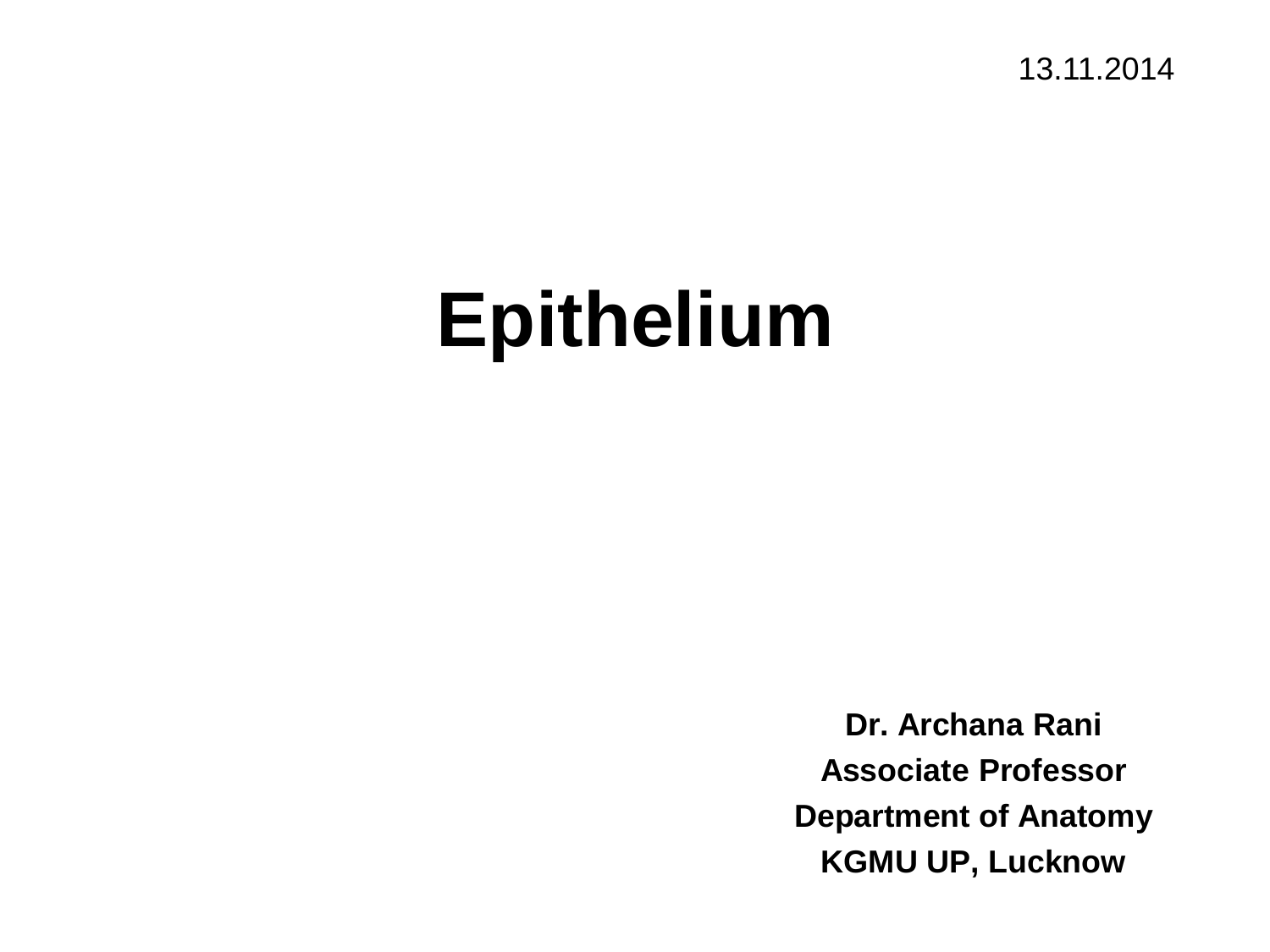13.11.2014

## **Epithelium**

**Dr. Archana Rani Associate Professor Department of Anatomy KGMU UP, Lucknow**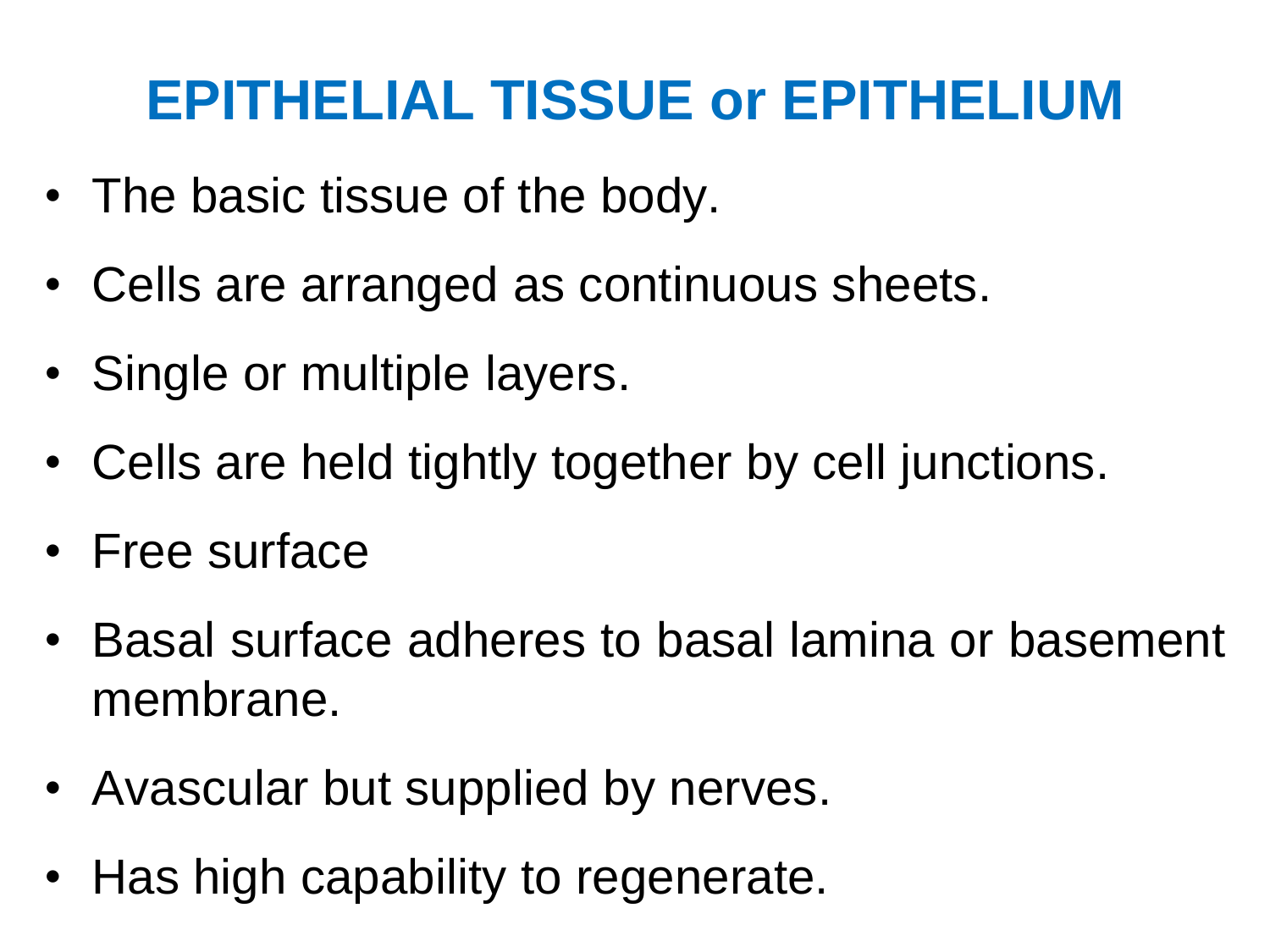### **EPITHELIAL TISSUE or EPITHELIUM**

- The basic tissue of the body.
- Cells are arranged as continuous sheets.
- Single or multiple layers.
- Cells are held tightly together by cell junctions.
- Free surface
- Basal surface adheres to basal lamina or basement membrane.
- Avascular but supplied by nerves.
- Has high capability to regenerate.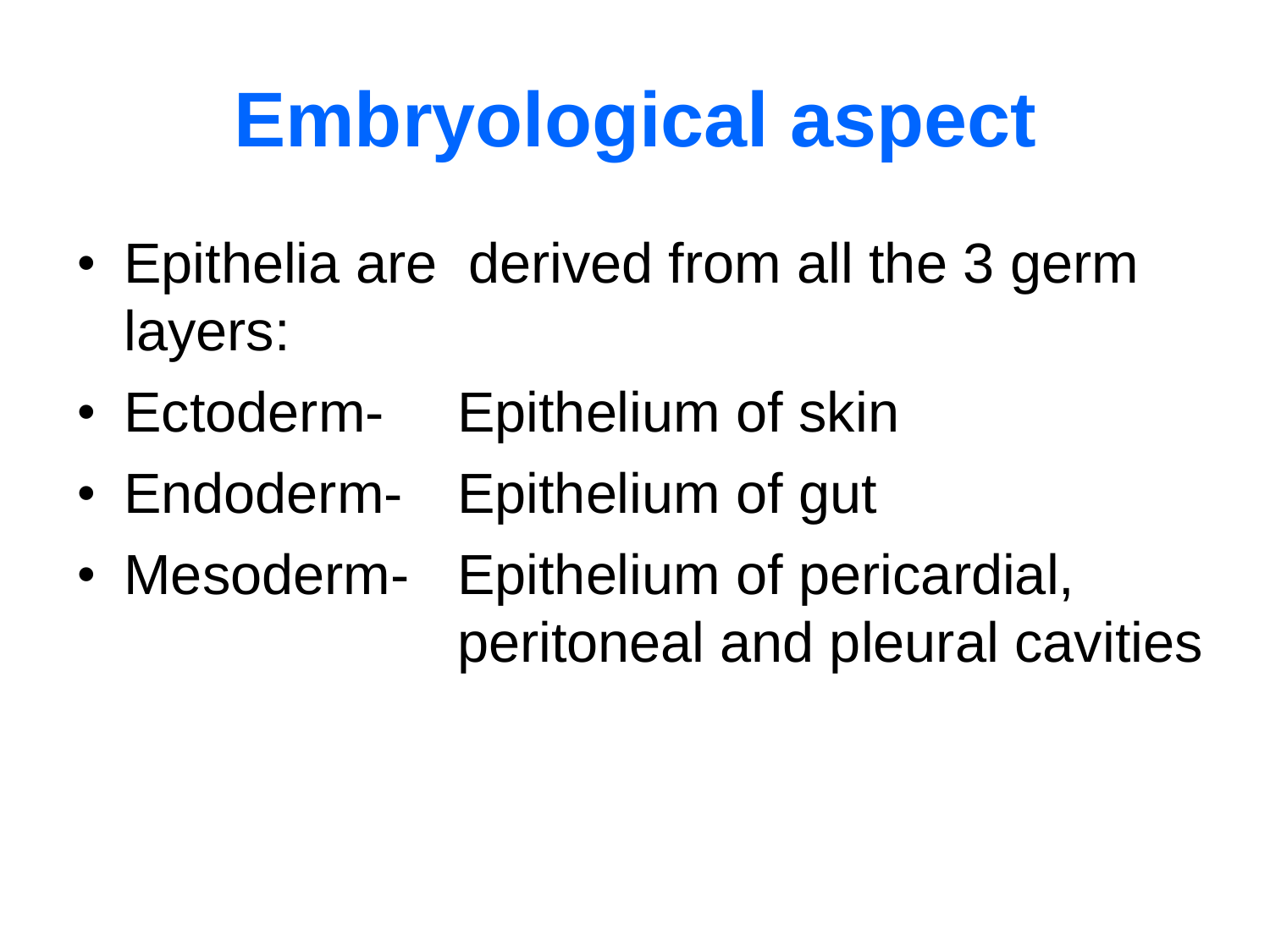# **Embryological aspect**

- Epithelia are derived from all the 3 germ layers:
- Ectoderm- Epithelium of skin
- 
- 
- Endoderm- Epithelium of gut
- Mesoderm- Epithelium of pericardial, peritoneal and pleural cavities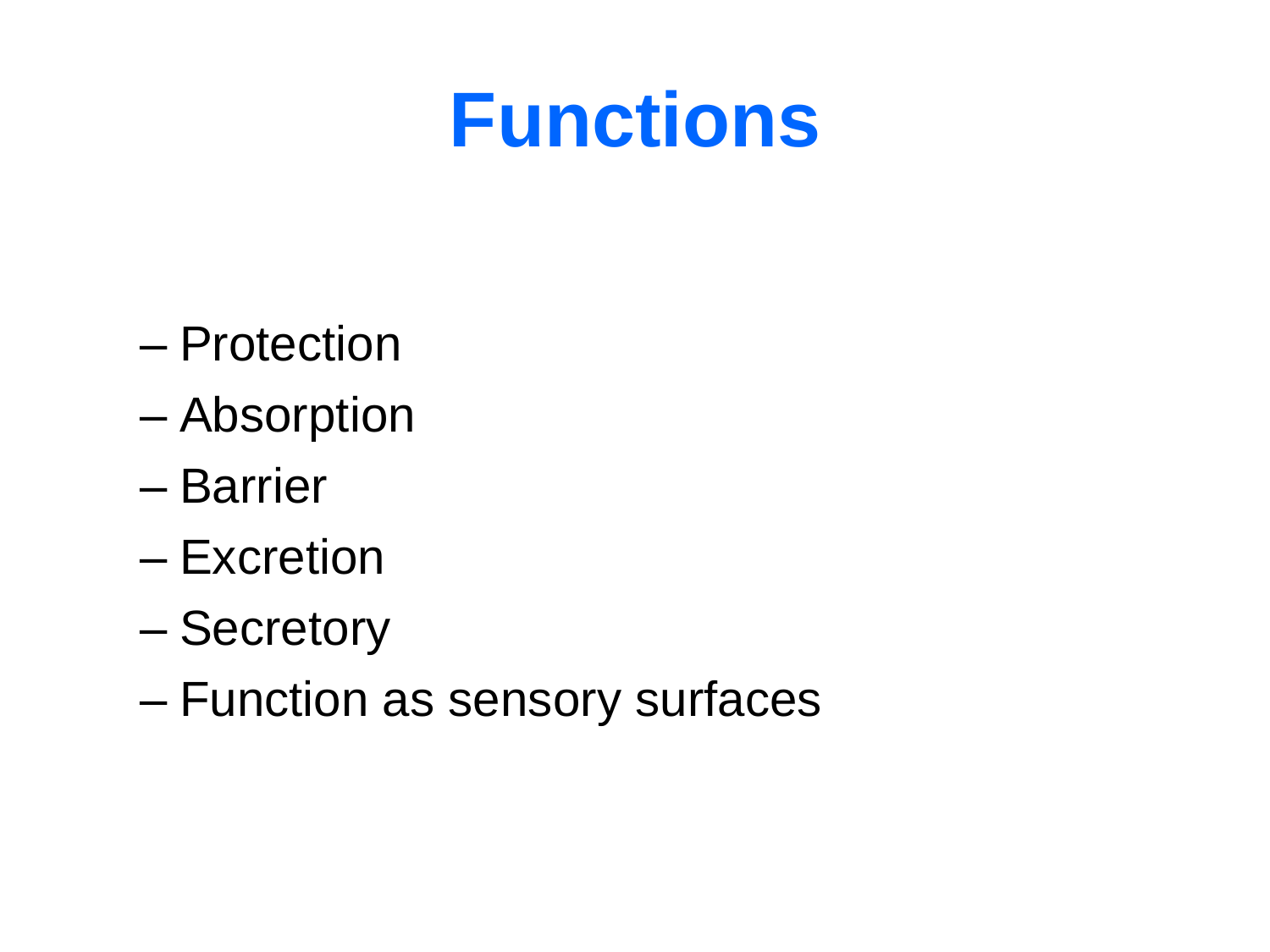## **Functions**

- Protection
- Absorption
- Barrier
- Excretion
- Secretory
- Function as sensory surfaces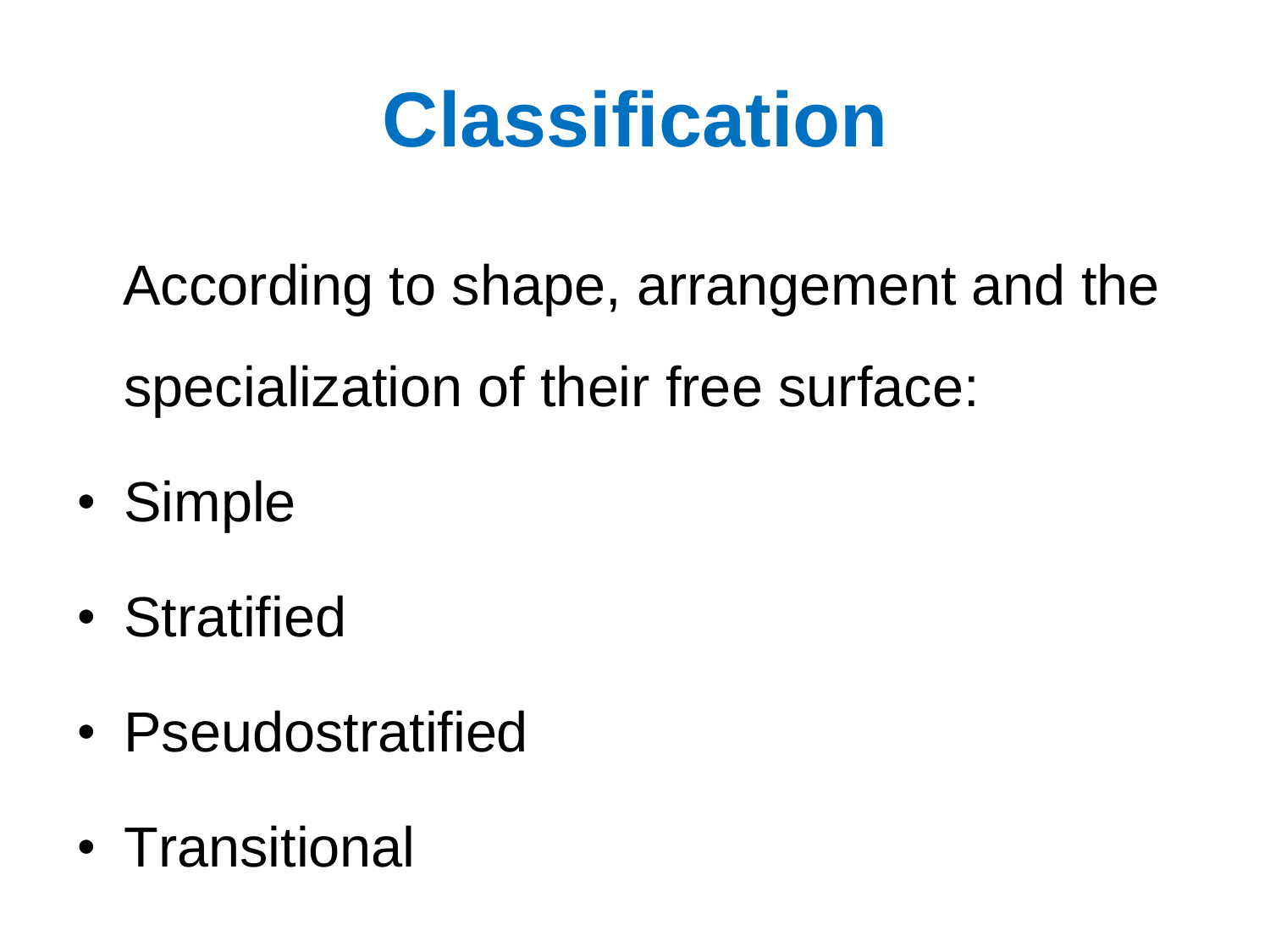## **Classification**

 According to shape, arrangement and the specialization of their free surface:

- Simple
- Stratified
- Pseudostratified
- Transitional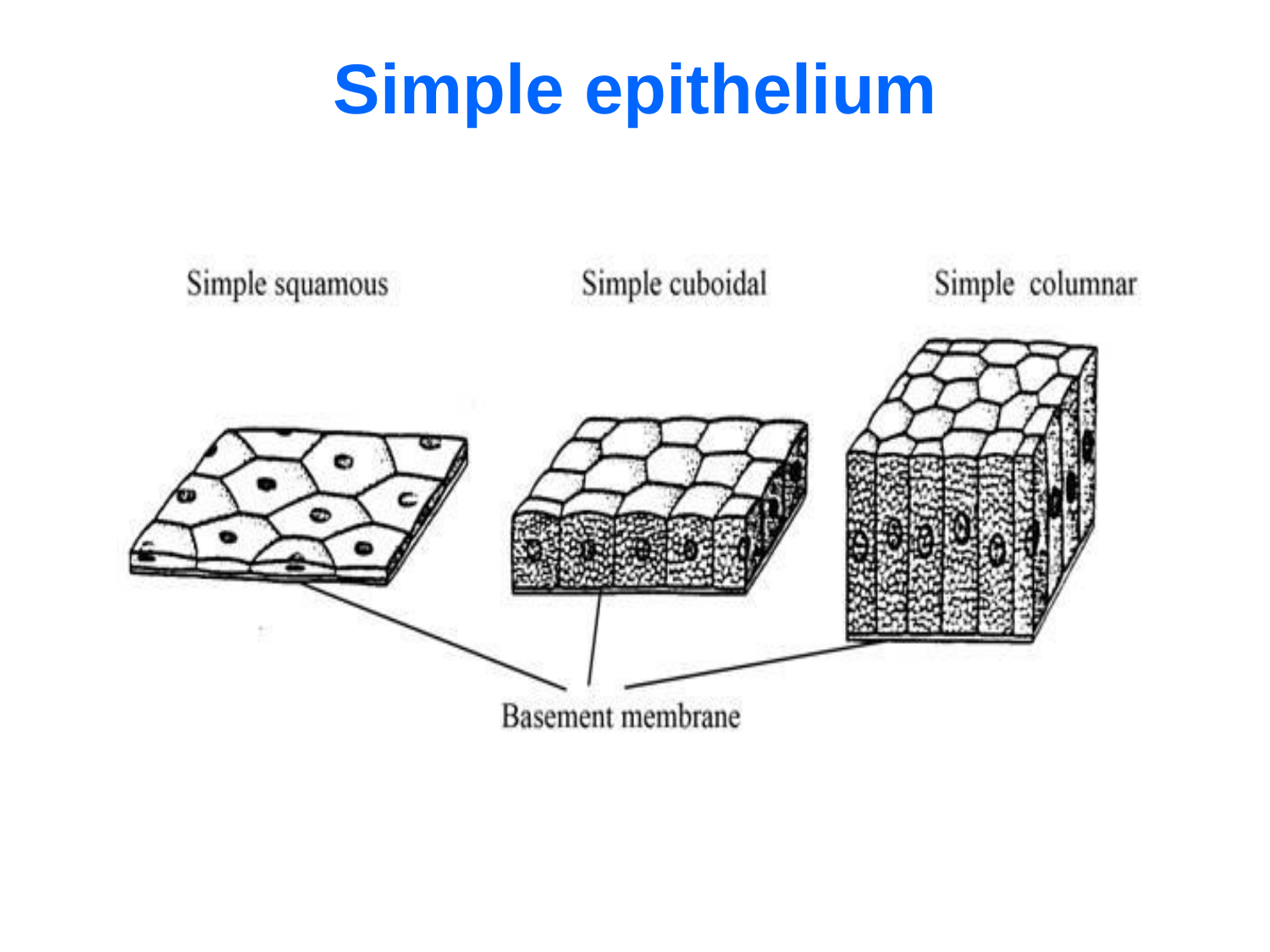## **Simple epithelium**

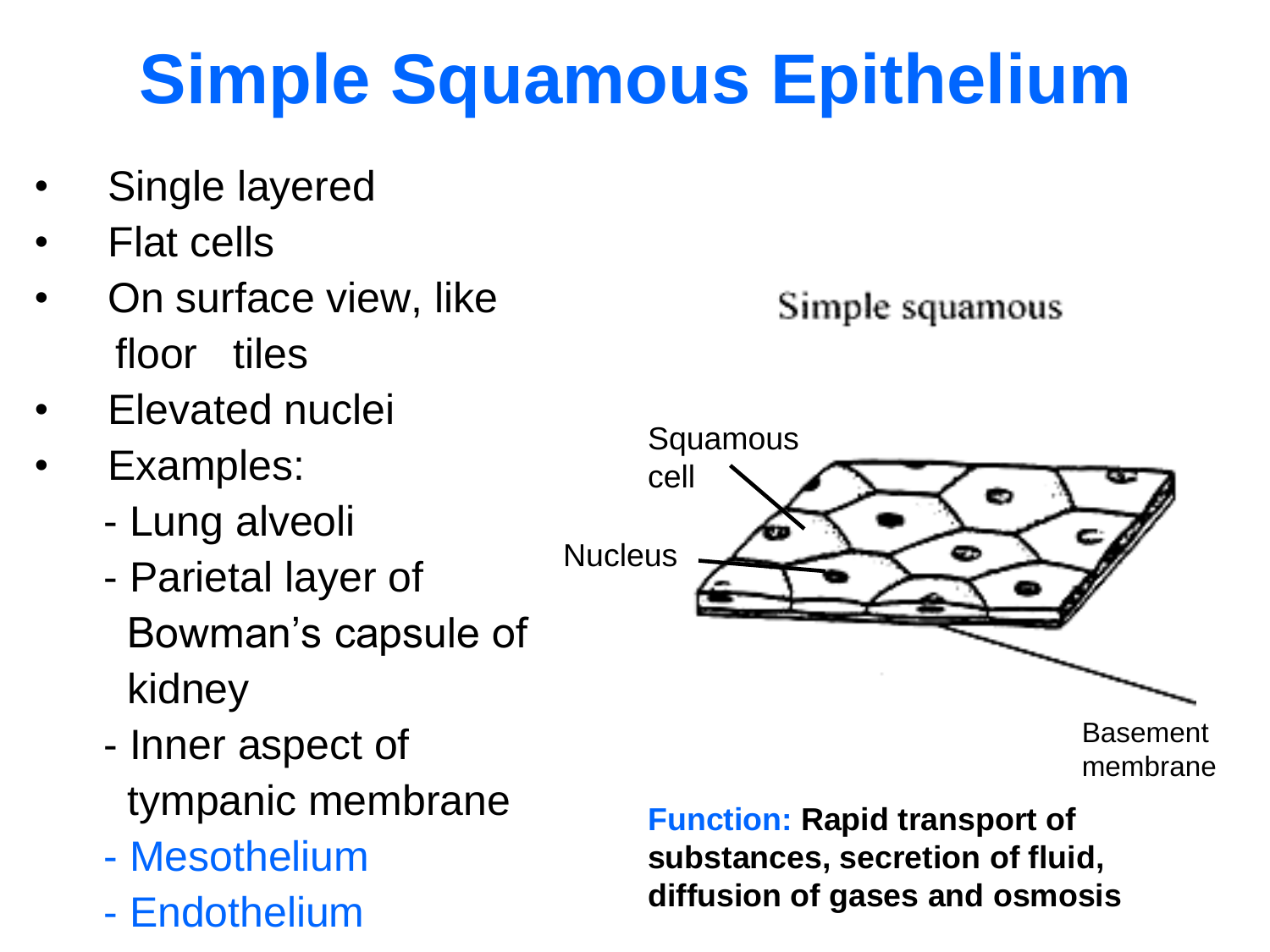## **Simple Squamous Epithelium**

- Single layered
- Flat cells
- On surface view, like floor tiles
- Elevated nuclei
- Examples:
	- Lung alveoli
	- Parietal layer of Bowman's capsule of kidney
	- Inner aspect of tympanic membrane
	- Mesothelium
	- Endothelium

Simple squamous



Basement membrane

#### **Function: Rapid transport of substances, secretion of fluid, diffusion of gases and osmosis**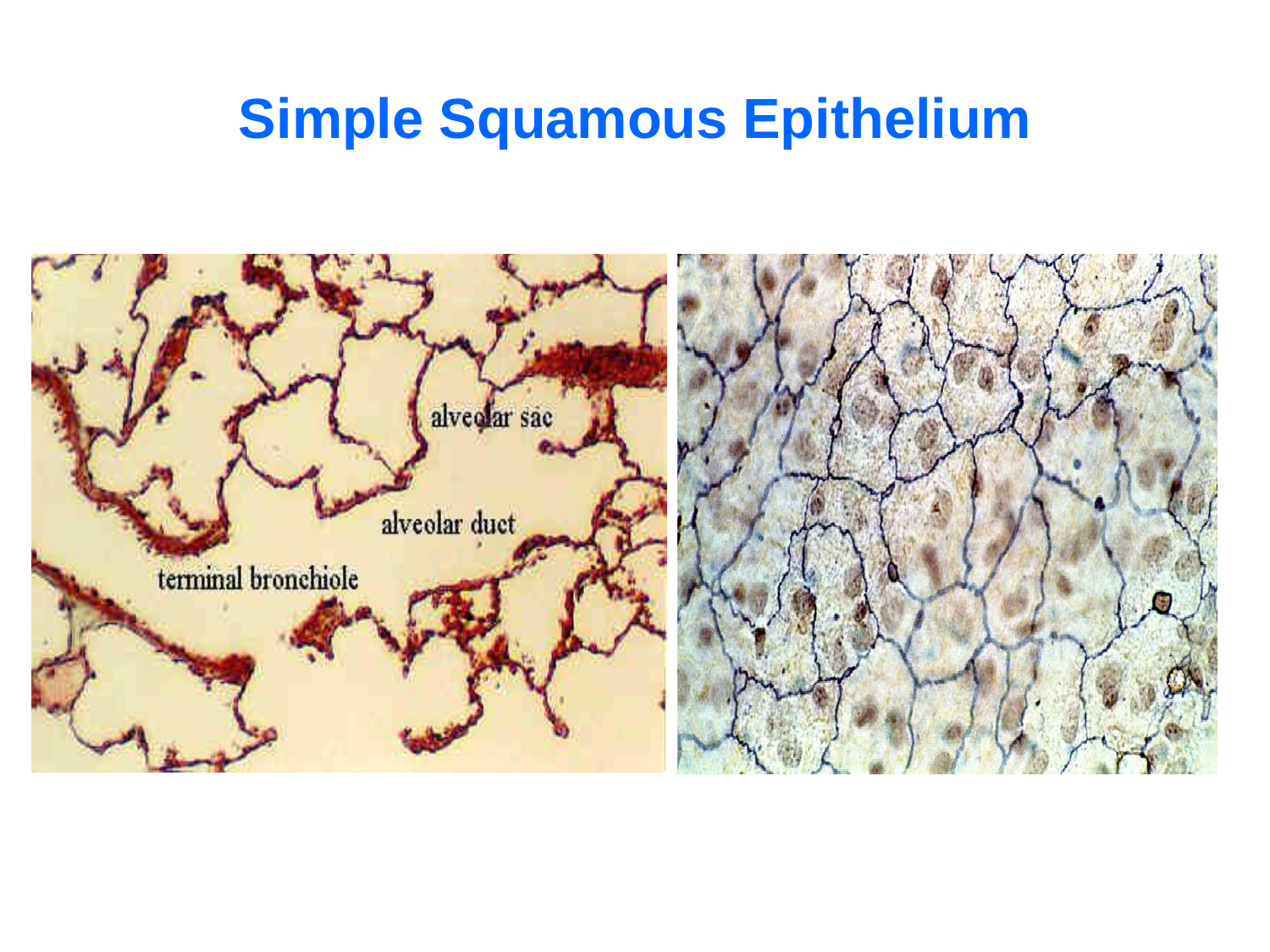### **Simple Squamous Epithelium**

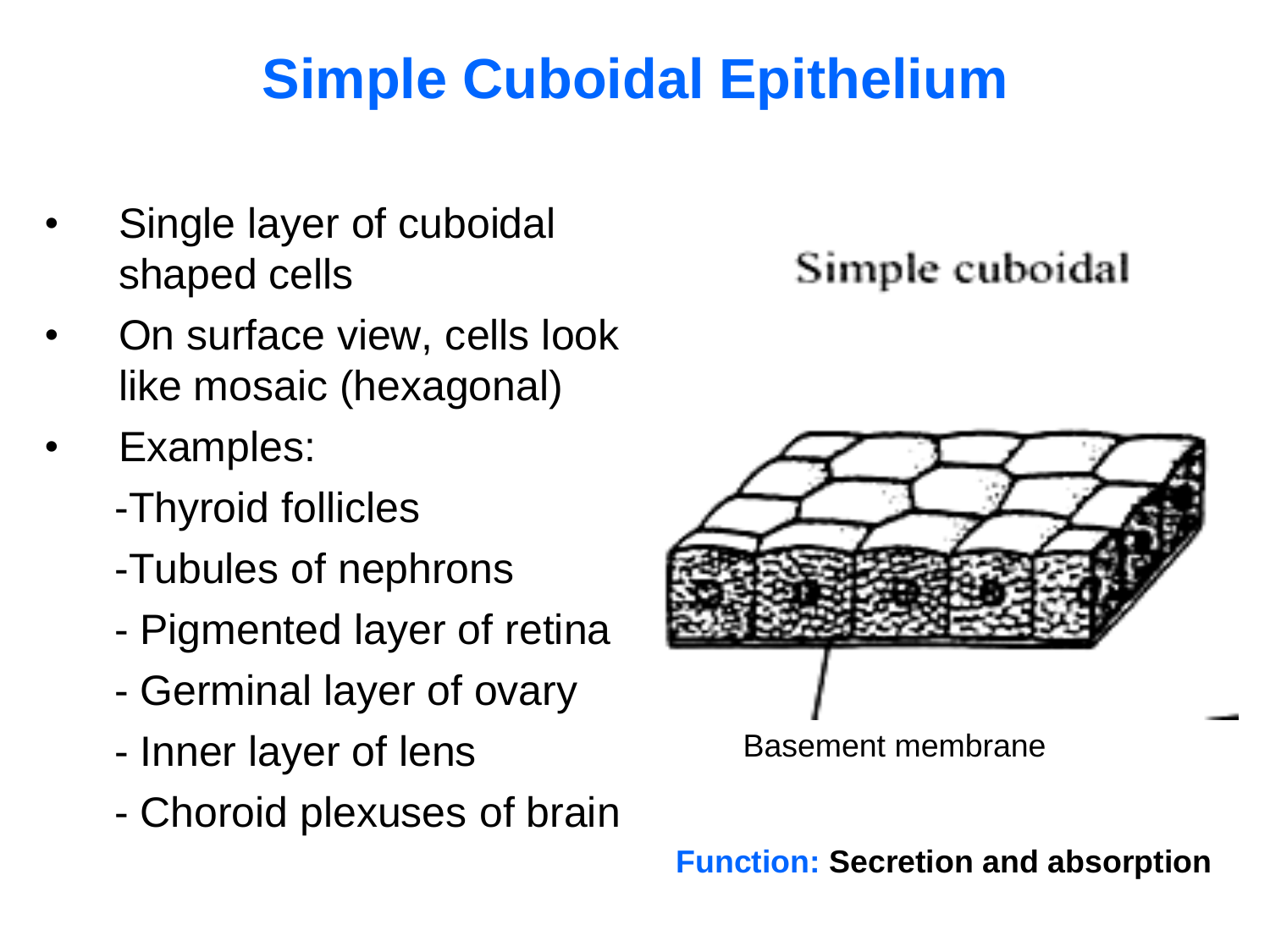### **Simple Cuboidal Epithelium**

- Single layer of cuboidal shaped cells
- On surface view, cells look like mosaic (hexagonal)
- Examples:
	- -Thyroid follicles
	- -Tubules of nephrons
	- Pigmented layer of retina
	- Germinal layer of ovary
	- Inner layer of lens
	- Choroid plexuses of brain

Simple cuboidal



 **Function: Secretion and absorption**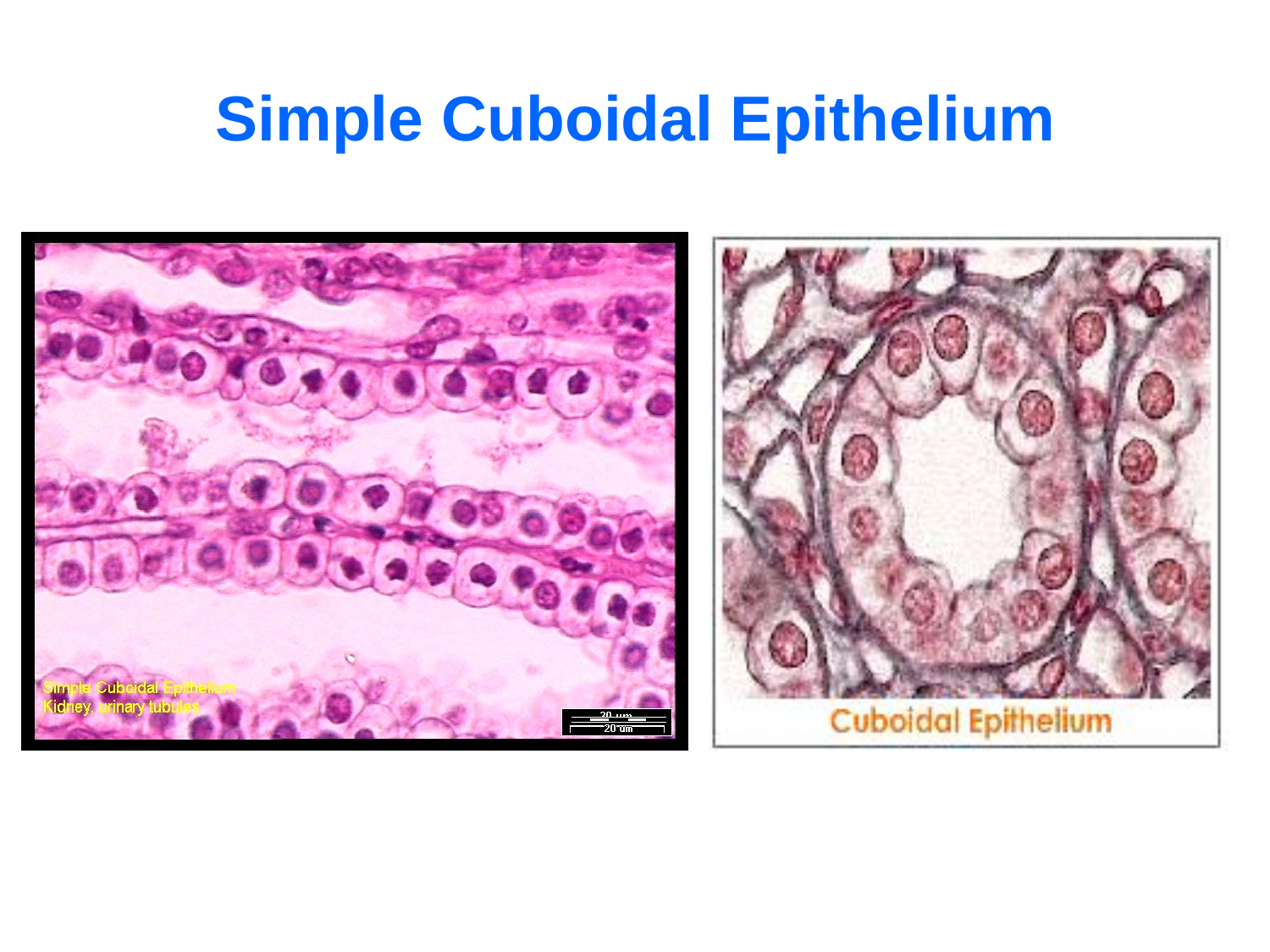### **Simple Cuboidal Epithelium**

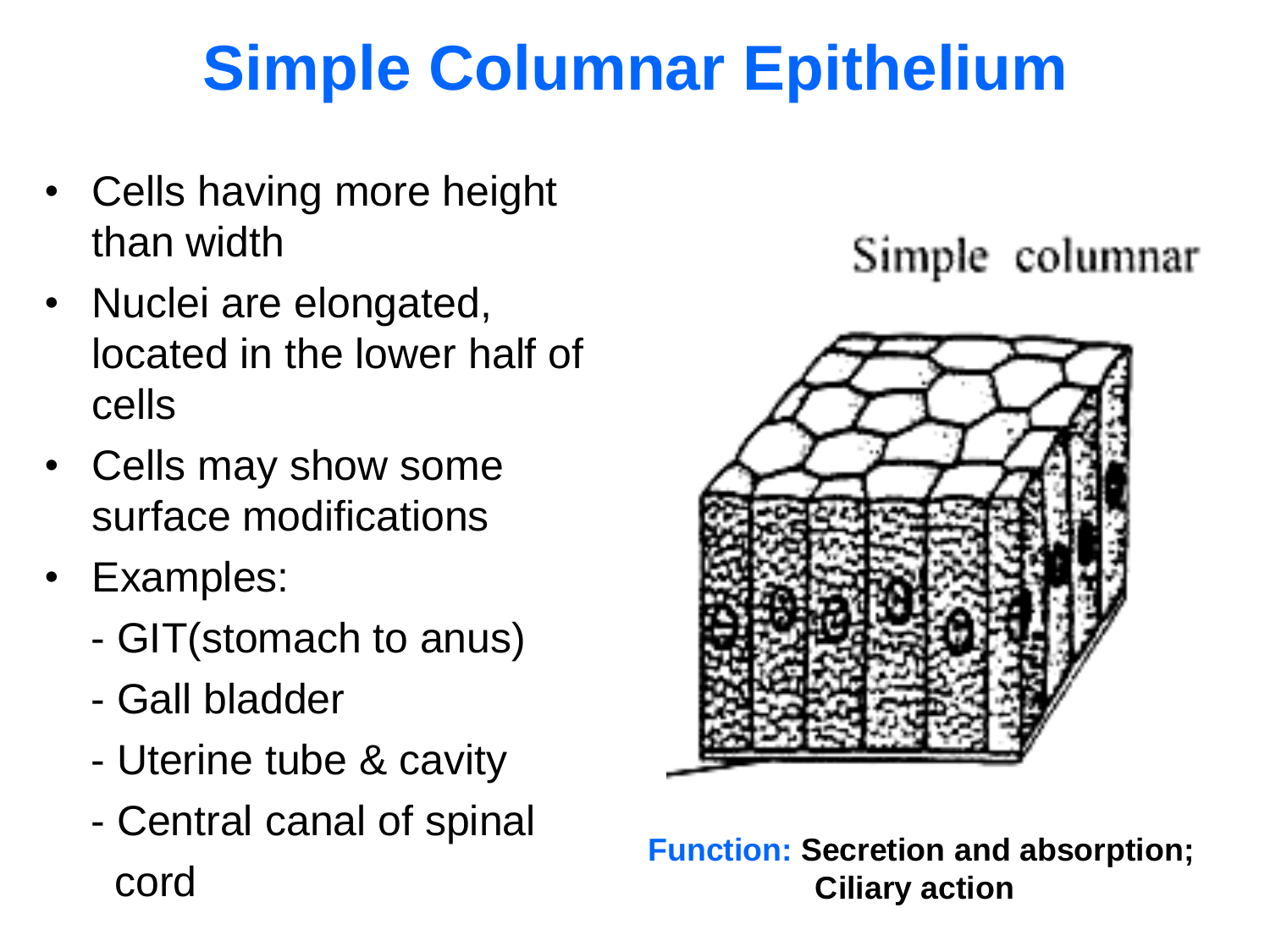## **Simple Columnar Epithelium**

- Cells having more height than width
- Nuclei are elongated, located in the lower half of cells
- Cells may show some surface modifications
- Examples:
	- GIT(stomach to anus)
	- Gall bladder
	- Uterine tube & cavity
	- Central canal of spinal cord

### Simple columnar



**Function: Secretion and absorption; Ciliary action**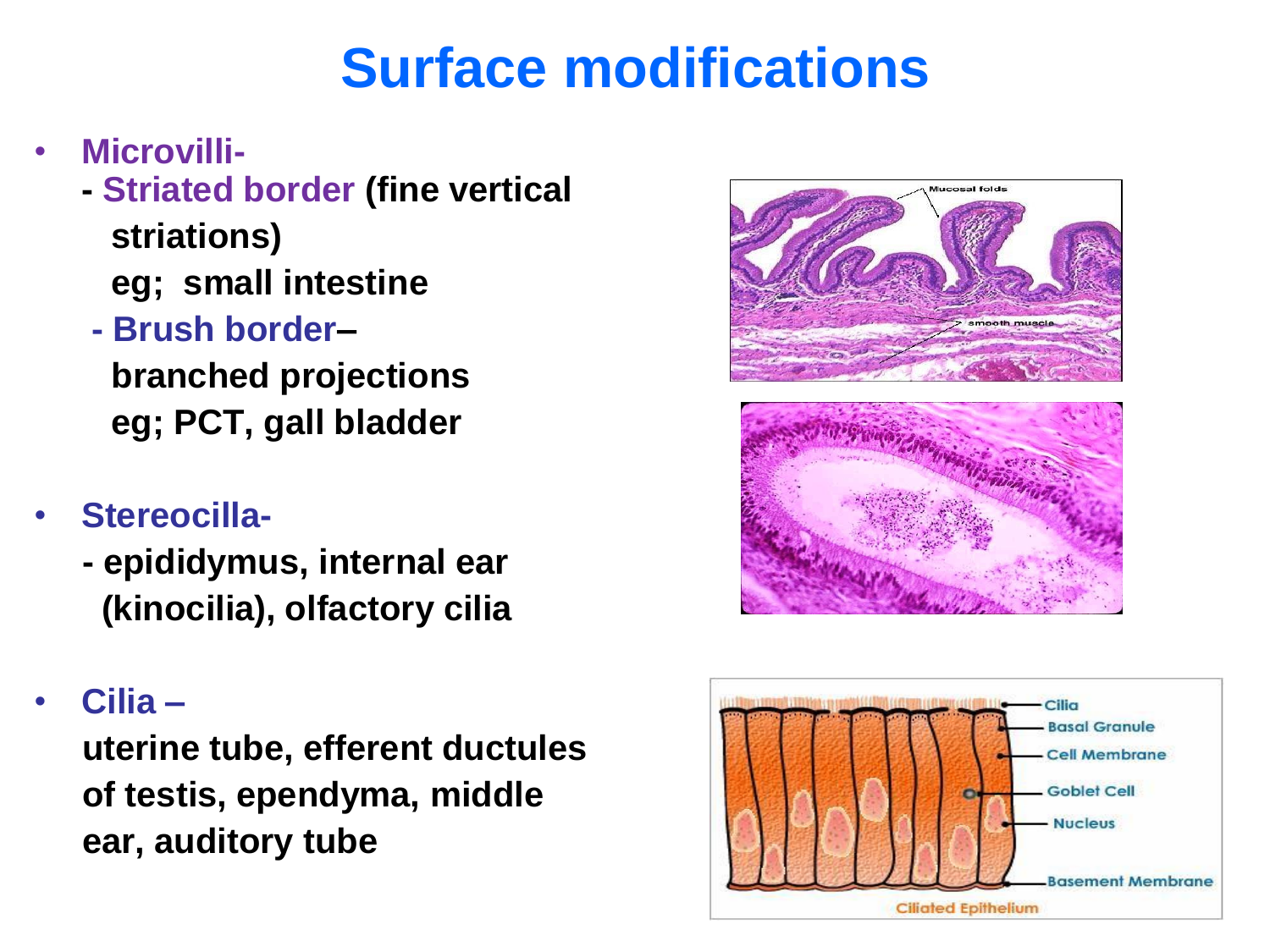### **Surface modifications**

- **Microvilli-** 
	- **- Striated border (fine vertical striations) eg; small intestine**
	- **- Brush border–**

 **branched projections eg; PCT, gall bladder**

- **Stereocilla-**
	- **- epididymus, internal ear (kinocilia), olfactory cilia**
- **Cilia –**

 **uterine tube, efferent ductules of testis, ependyma, middle ear, auditory tube**



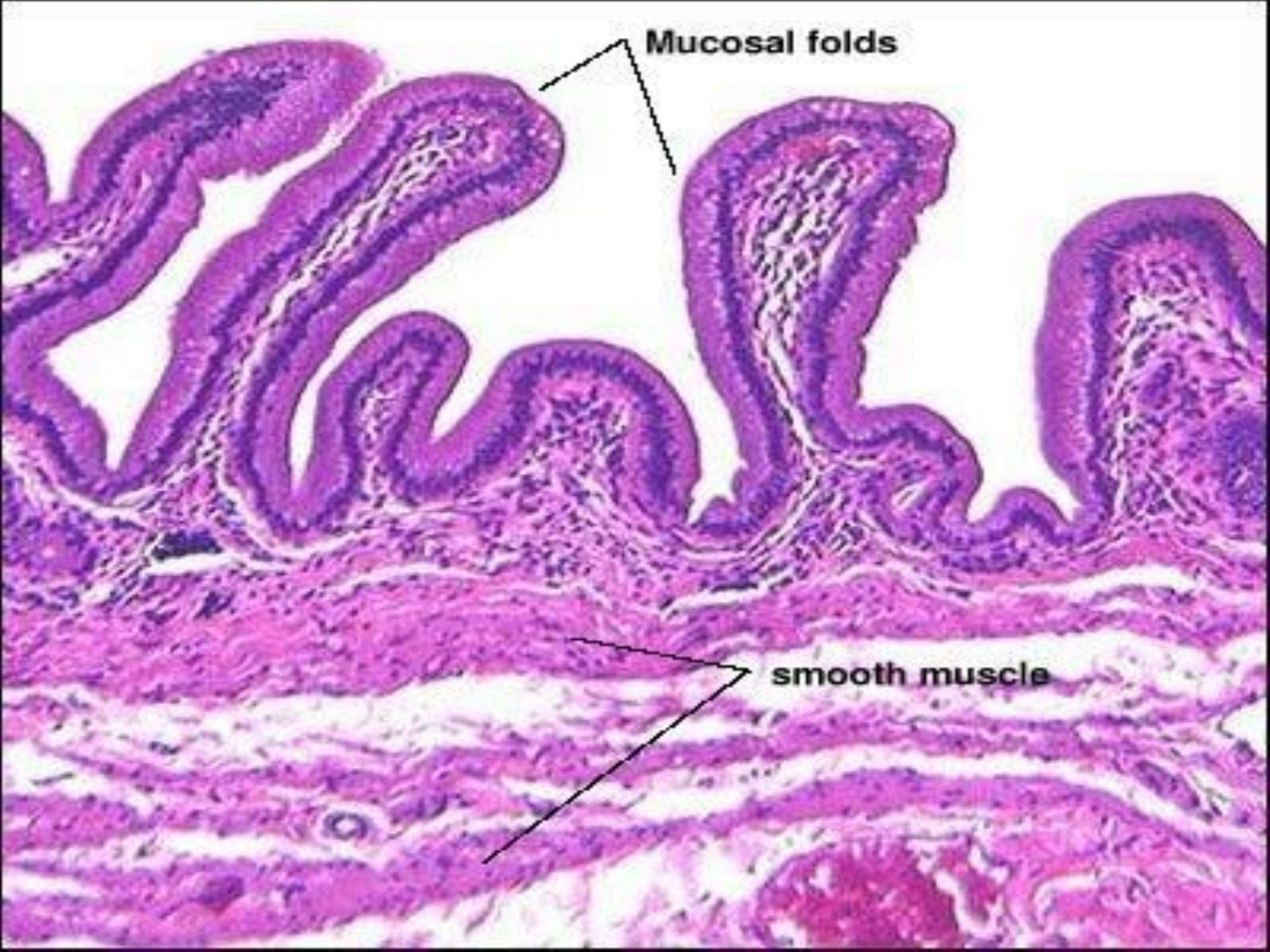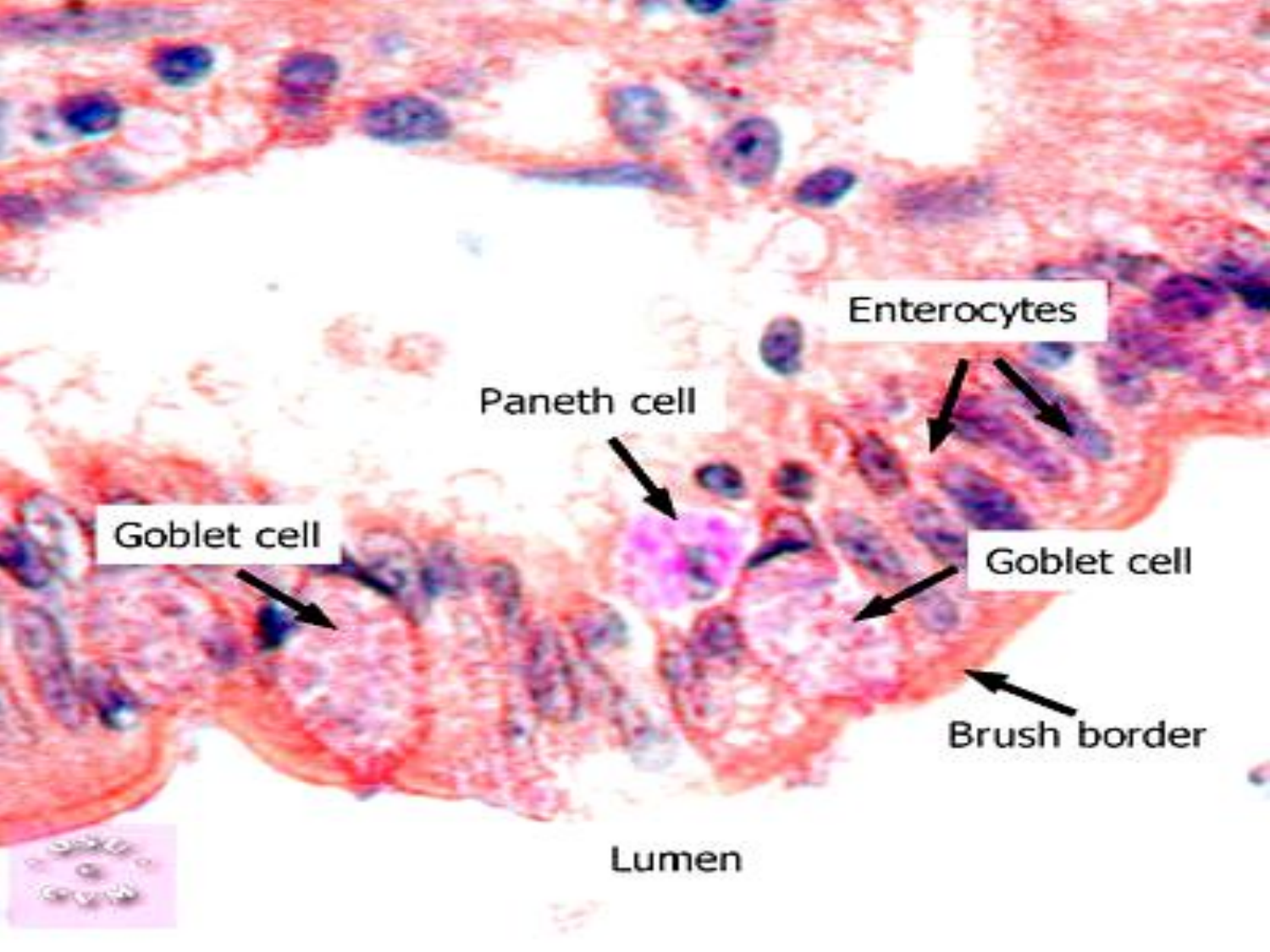#### Enterocytes

Paneth cell



Goblet cell

Brush border

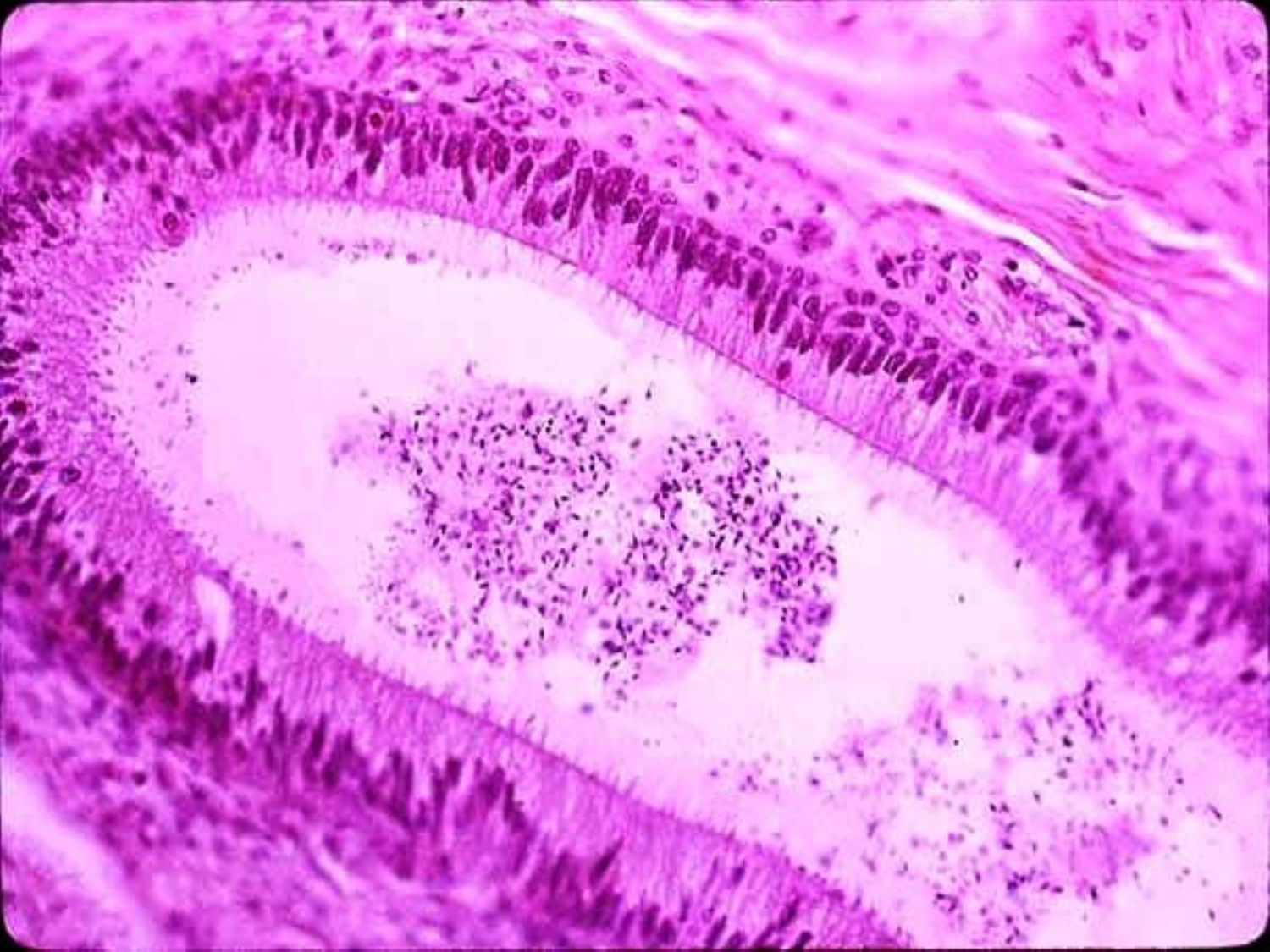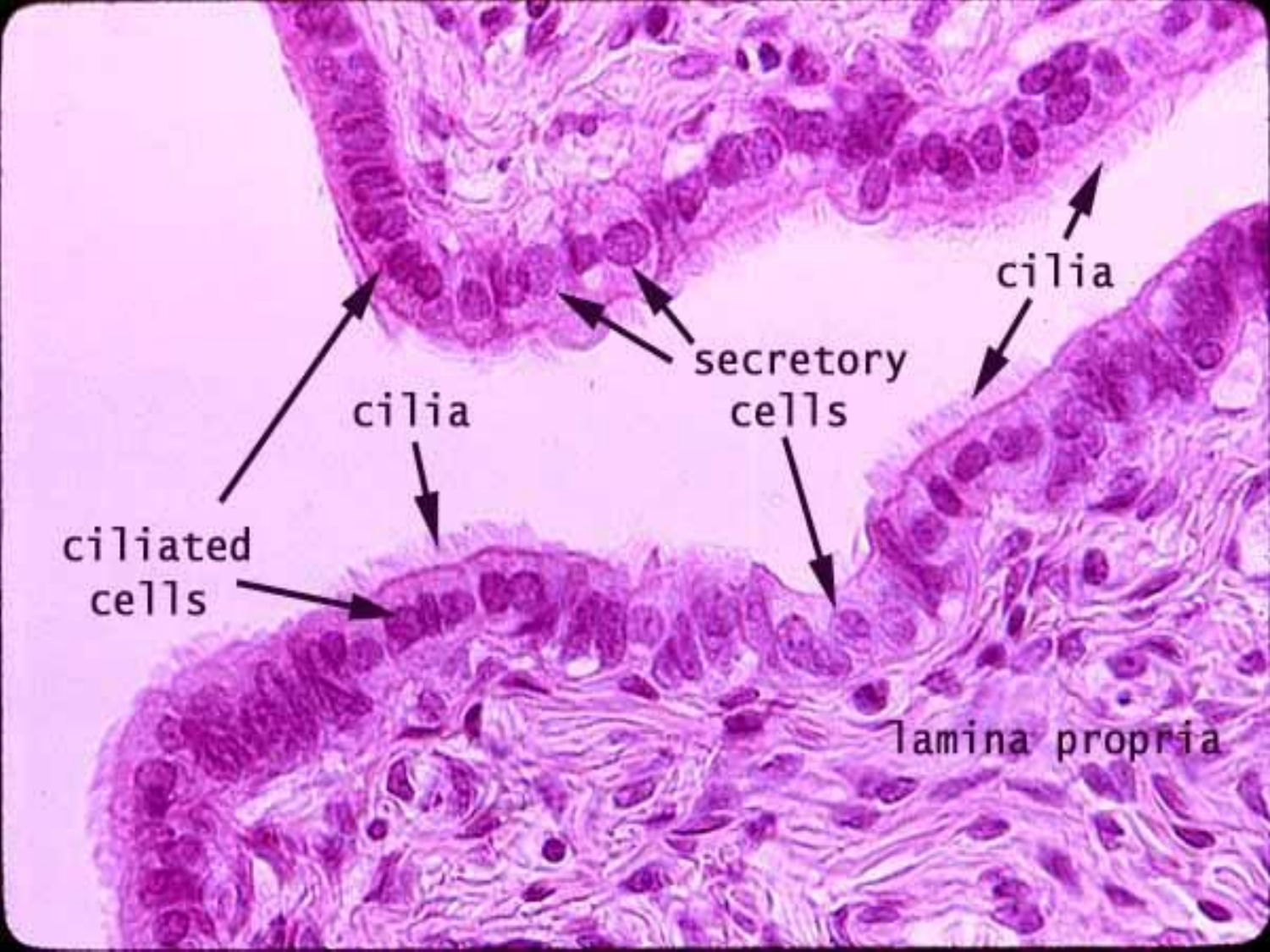

secretory cells

ciliated cells

Tamina propria

cilia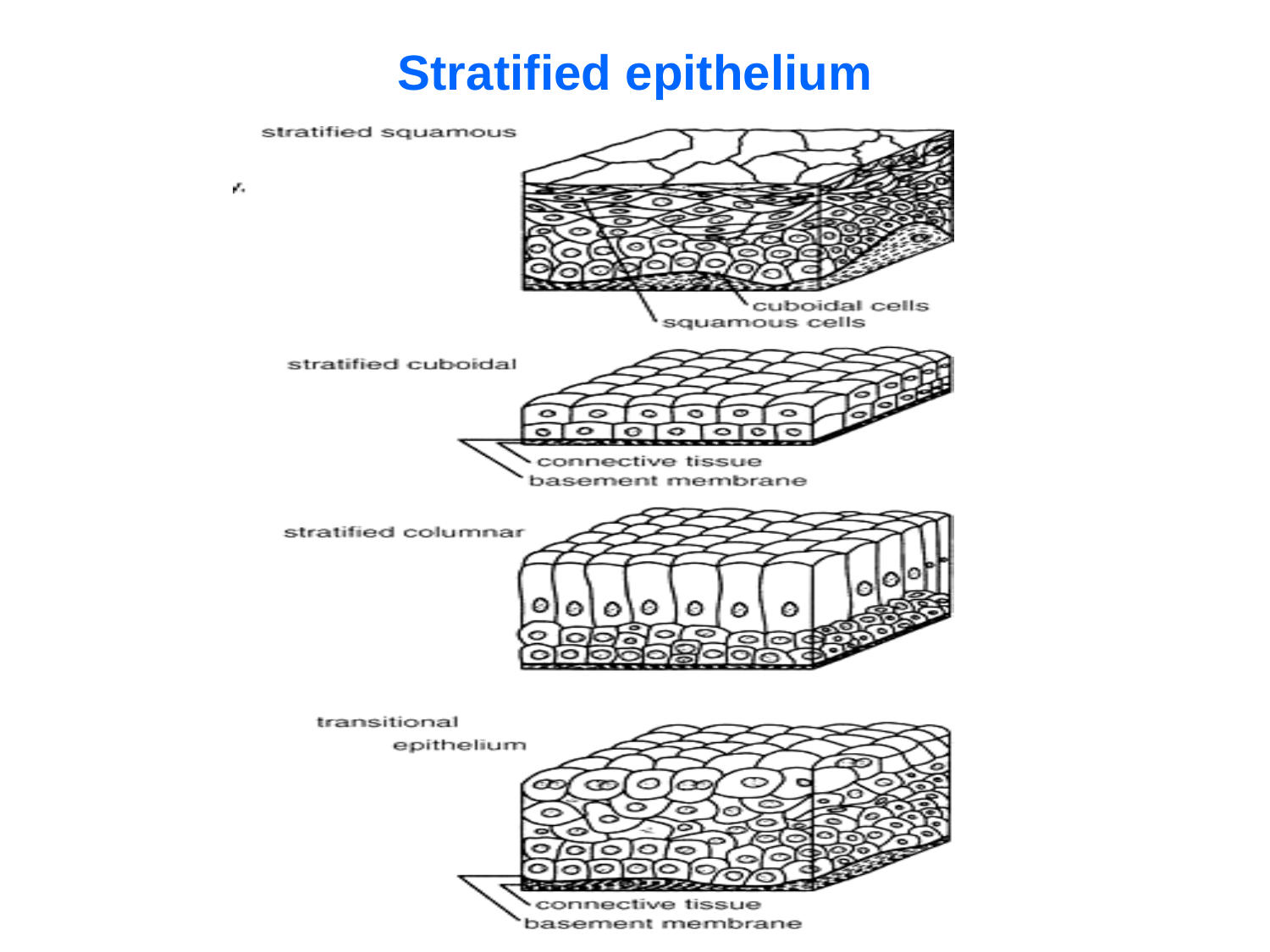### **Stratified epithelium**

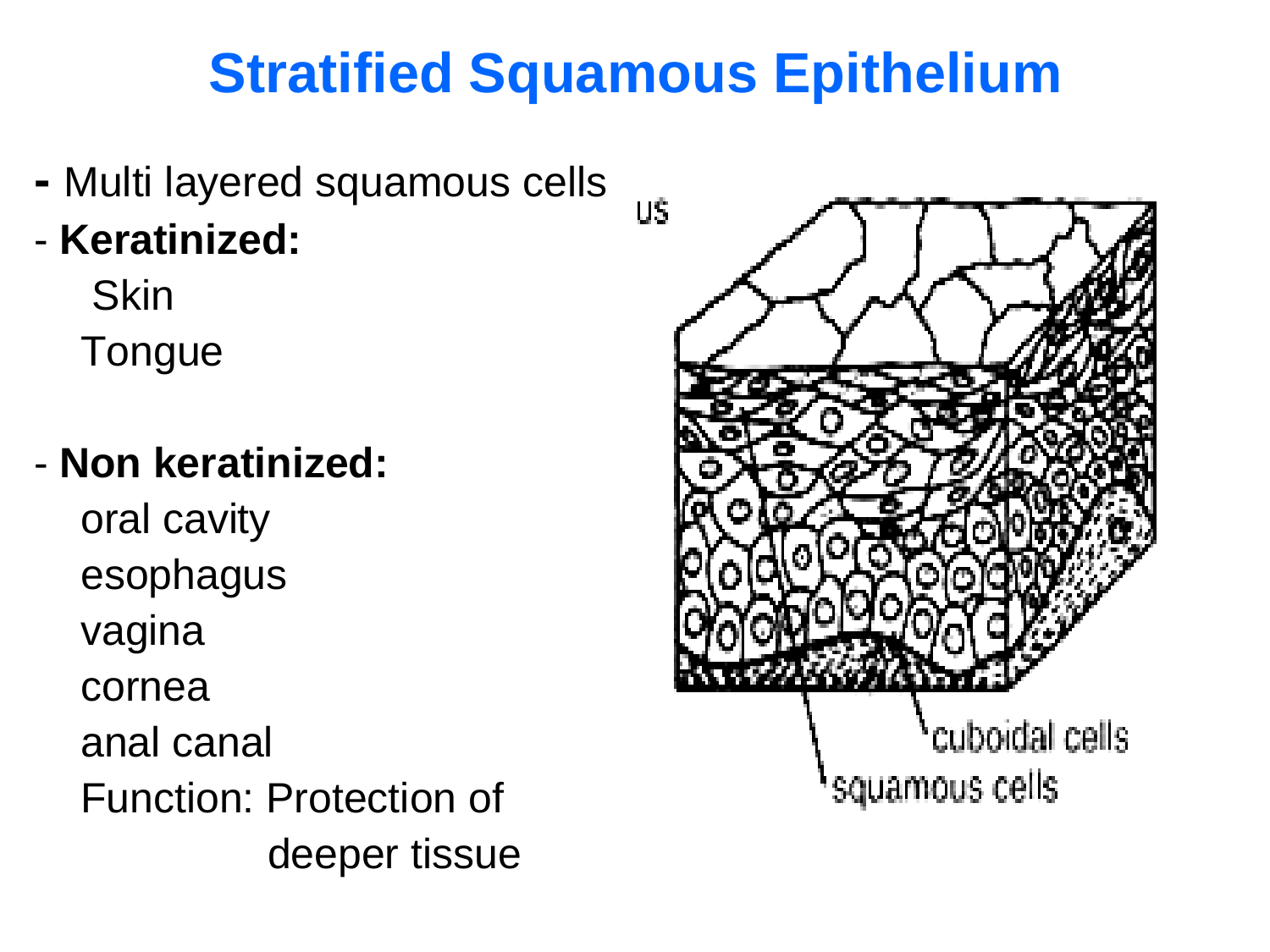### **Stratified Squamous Epithelium**

- **-** Multi layered squamous cells
- **Keratinized:**

**Skin** 

**Tongue** 

### - **Non keratinized:**

 oral cavity esophagus vagina cornea anal canal Function: Protection of deeper tissue

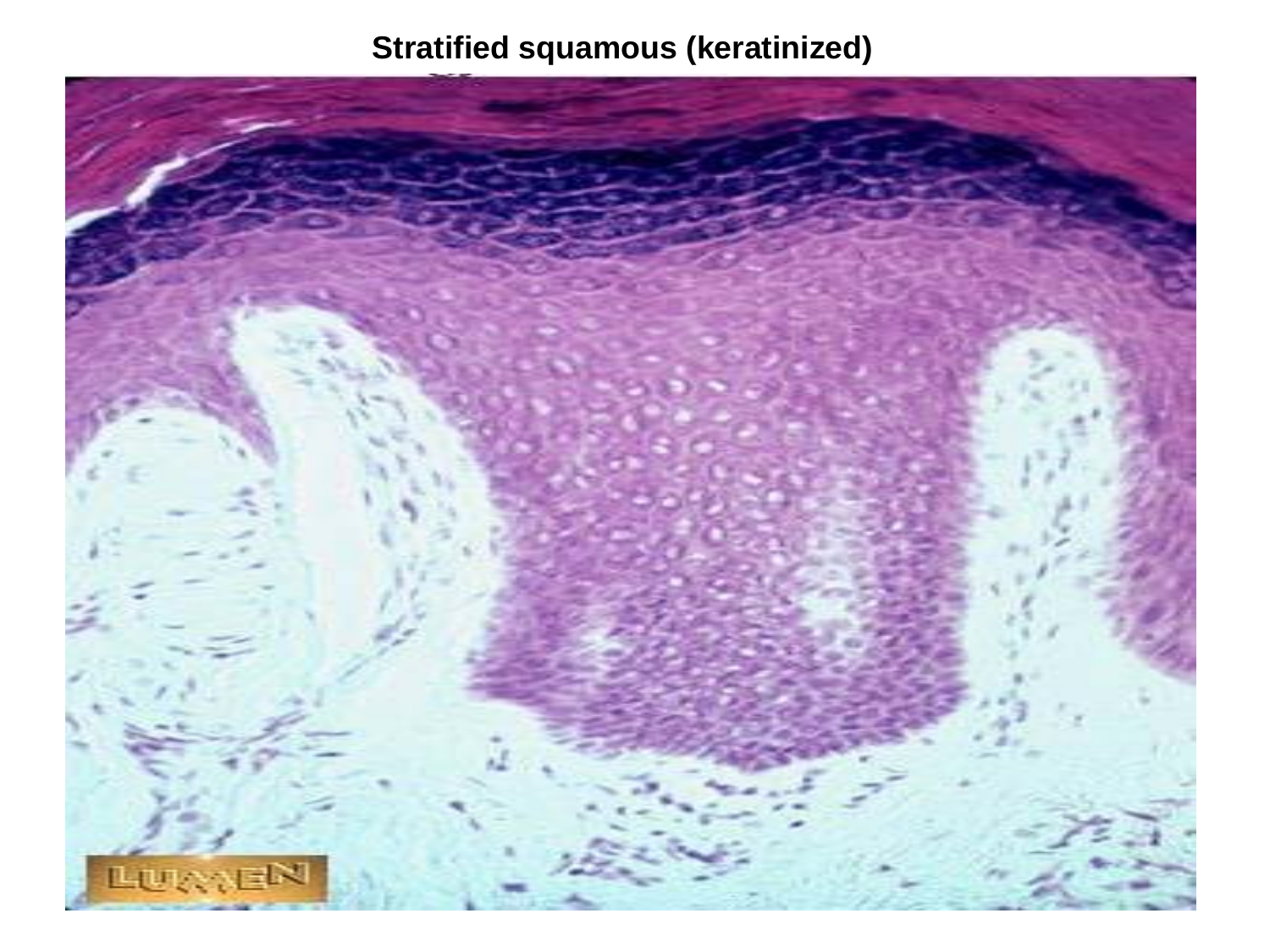#### **Stratified squamous (keratinized)**

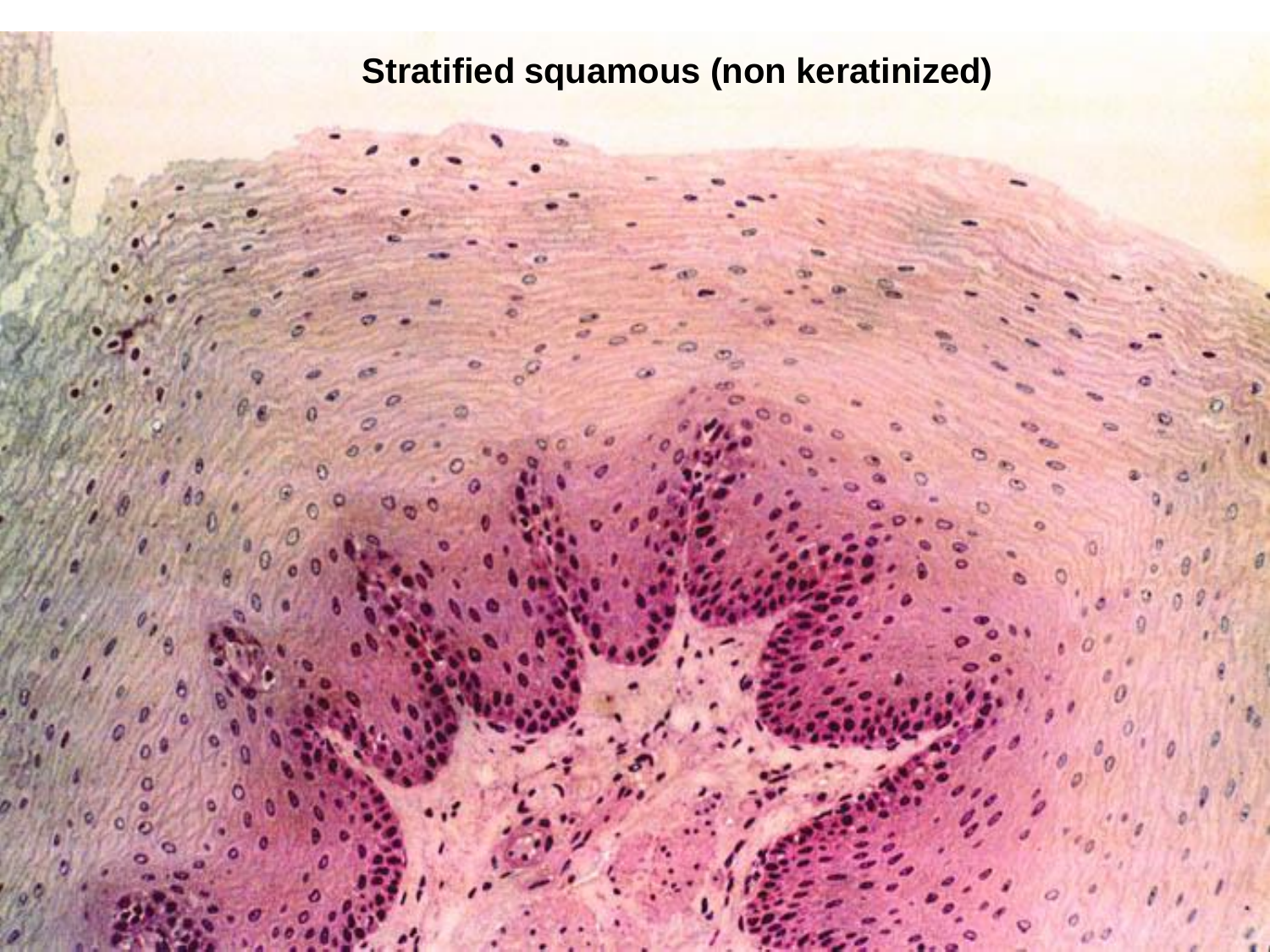![](_page_19_Picture_0.jpeg)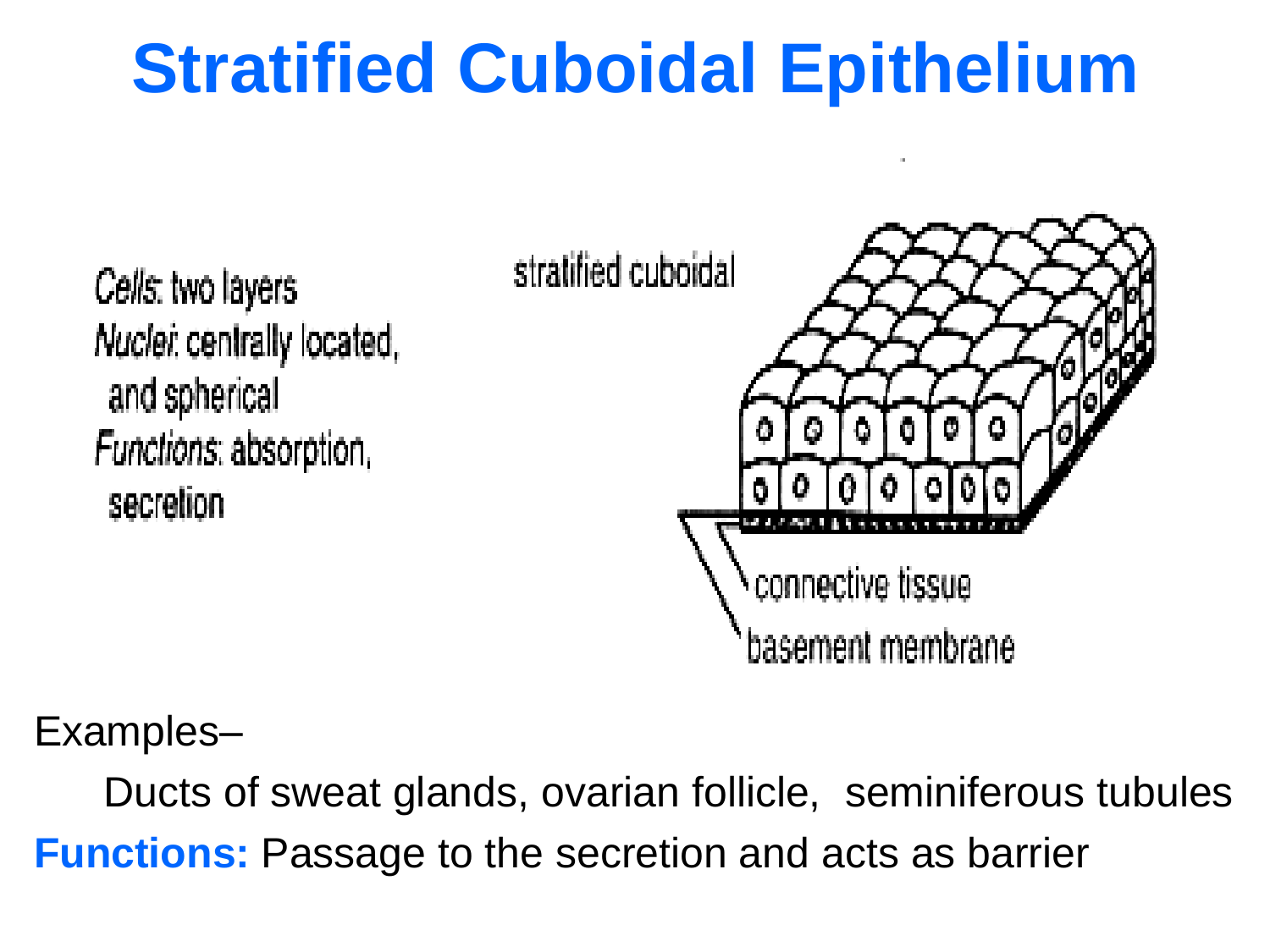## **Stratified Cuboidal Epithelium**

Cells: two layers Nuclei: centrally located, and spherical Functions: absorption, secretion

![](_page_20_Picture_2.jpeg)

#### Examples–

 Ducts of sweat glands, ovarian follicle, seminiferous tubules **Functions:** Passage to the secretion and acts as barrier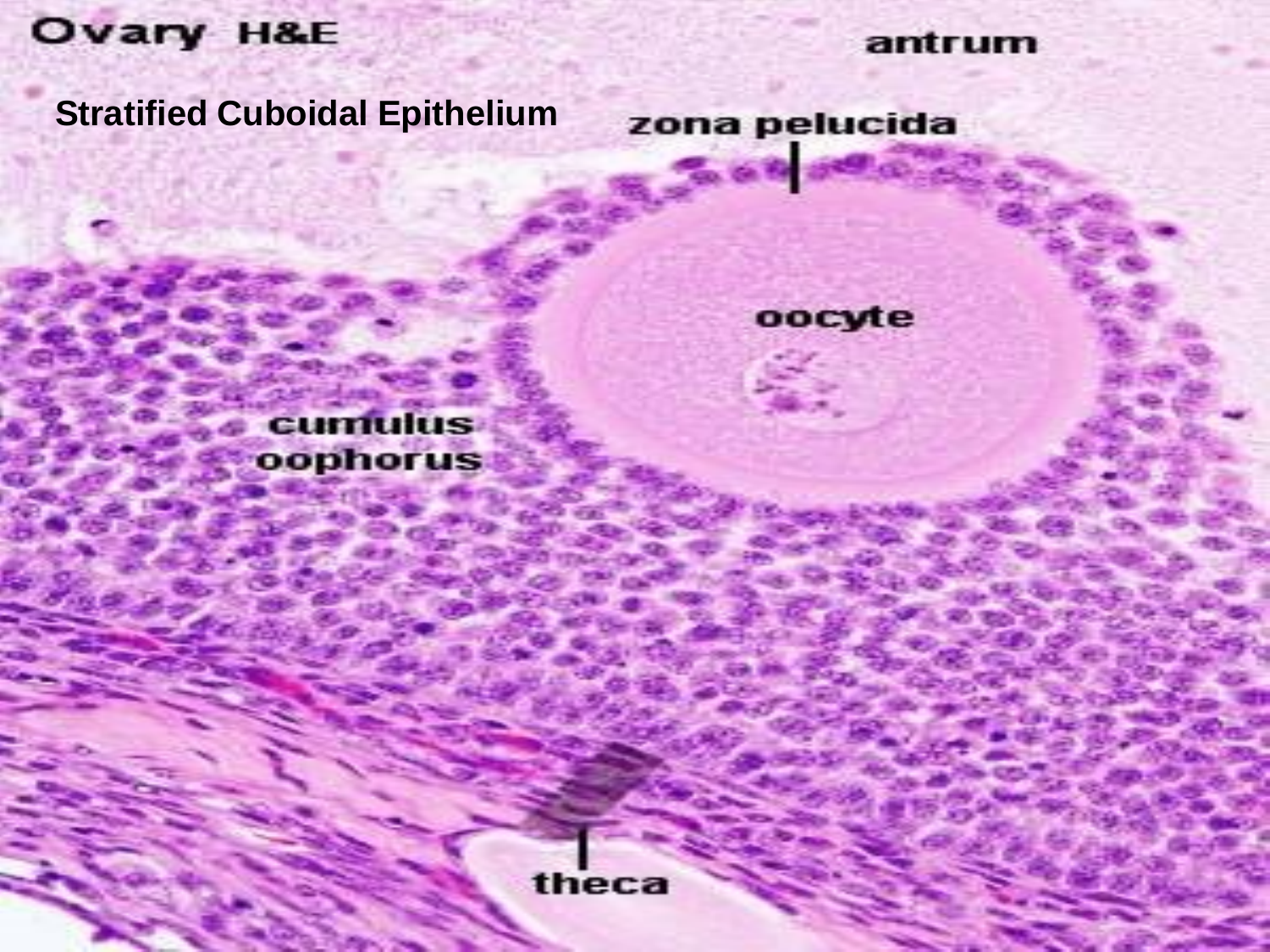![](_page_21_Picture_0.jpeg)

#### antrum

**Stratified Cuboidal Epithelium** 

zona pelucida

oocyte

**cumulus** oophorus

theca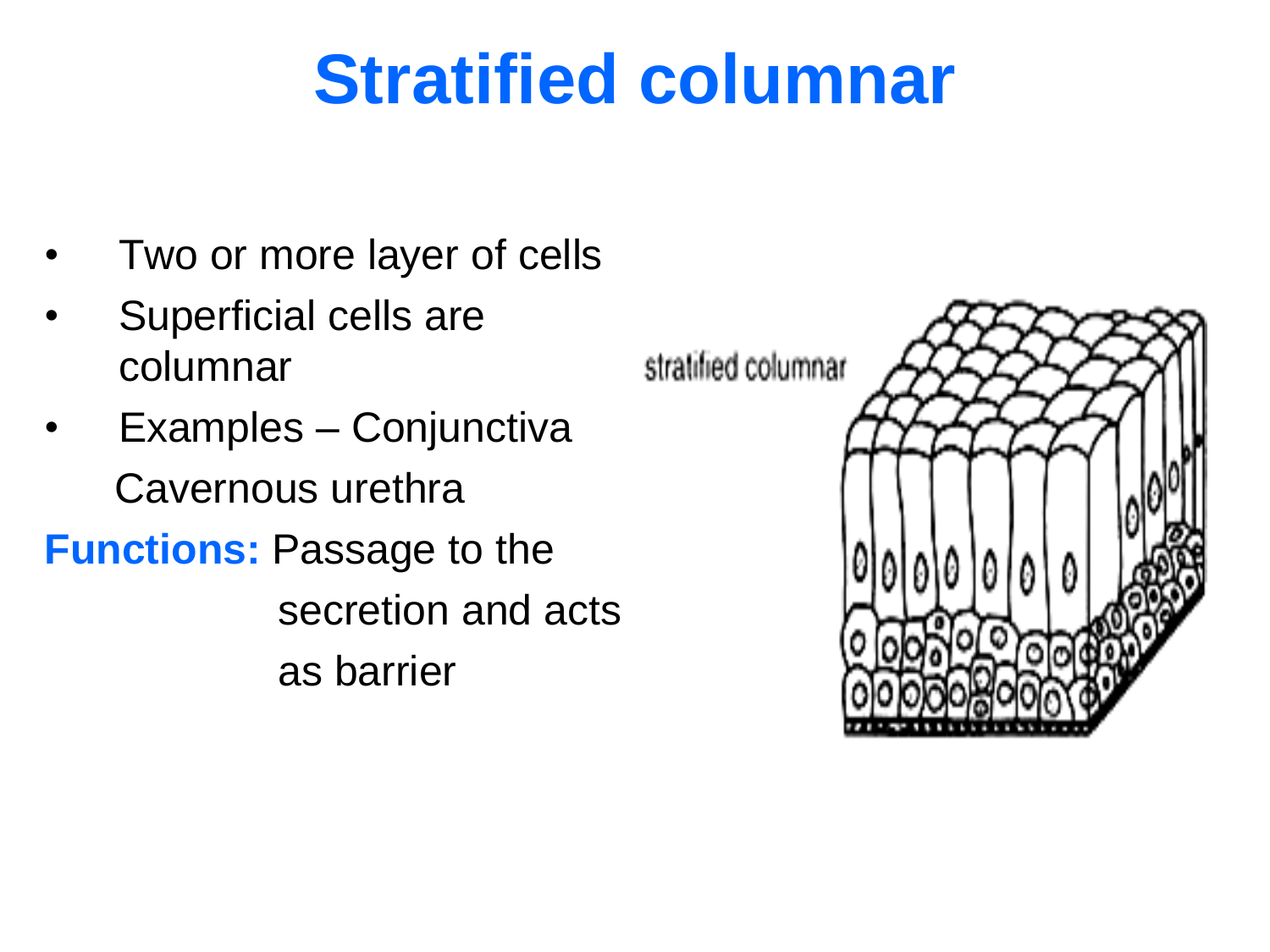## **Stratified columnar**

- Two or more layer of cells
- Superficial cells are columnar
- Examples Conjunctiva Cavernous urethra
- **Functions:** Passage to the secretion and acts as barrier

![](_page_22_Picture_5.jpeg)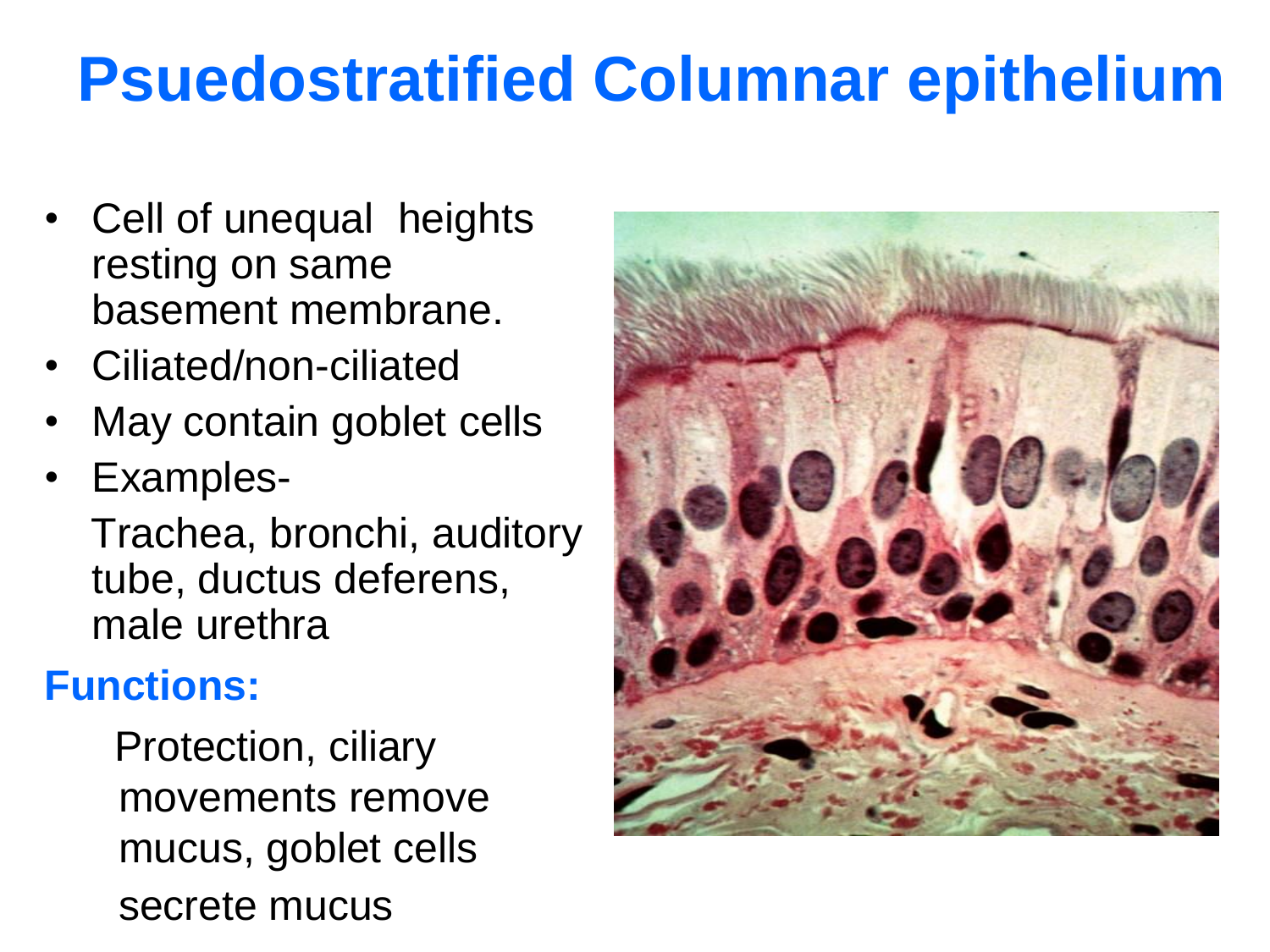### **Psuedostratified Columnar epithelium**

- Cell of unequal heights resting on same basement membrane.
- Ciliated/non-ciliated
- May contain goblet cells
- Examples-

 Trachea, bronchi, auditory tube, ductus deferens, male urethra

#### **Functions:**

 Protection, ciliary movements remove mucus, goblet cells secrete mucus

![](_page_23_Picture_8.jpeg)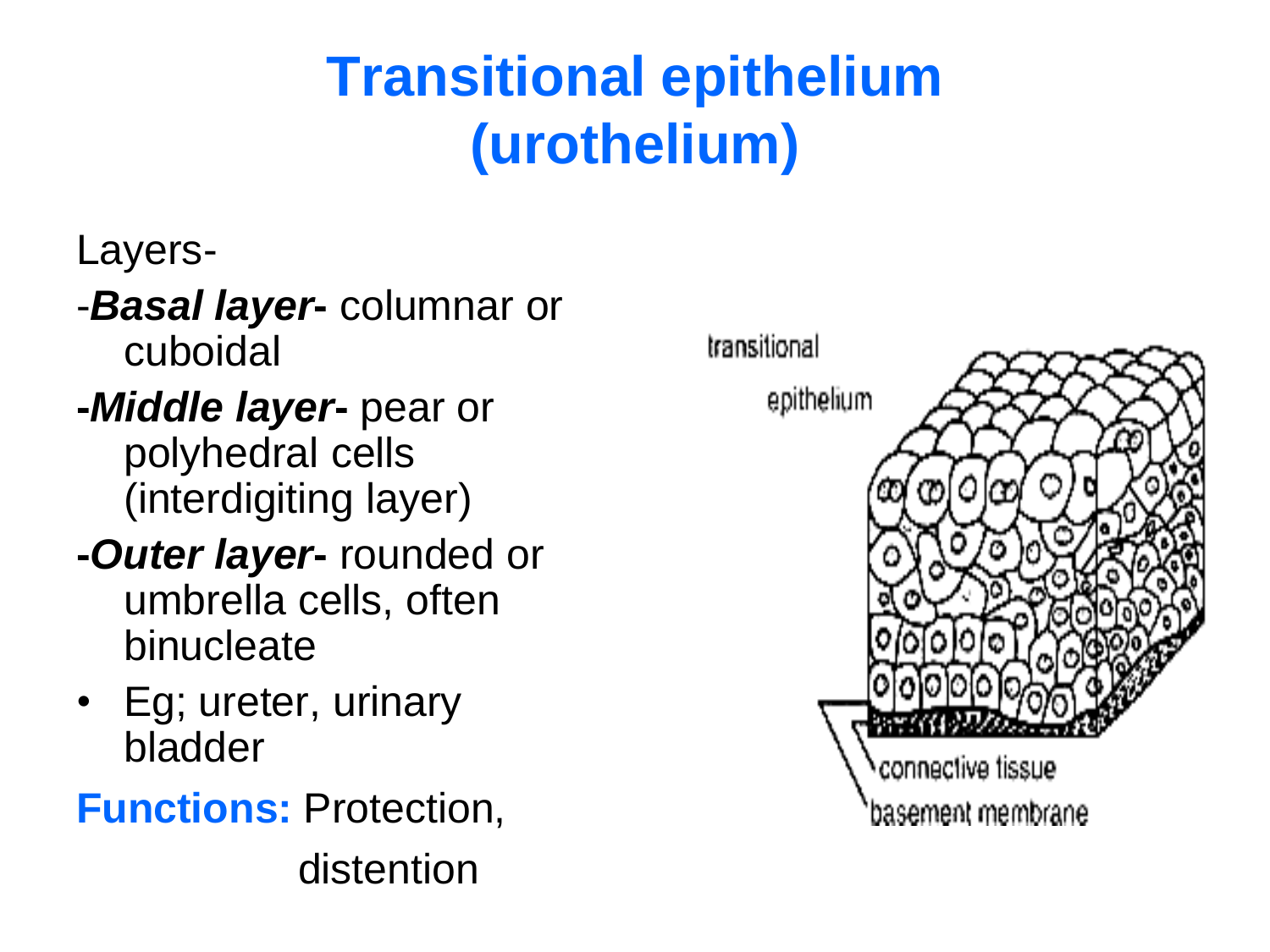### **Transitional epithelium (urothelium)**

Layers-

- -*Basal layer***-** columnar or cuboidal
- **-***Middle layer***-** pear or polyhedral cells (interdigiting layer)
- **-***Outer layer***-** rounded or umbrella cells, often binucleate
- Eg; ureter, urinary bladder
- **Functions:** Protection, distention

![](_page_24_Figure_7.jpeg)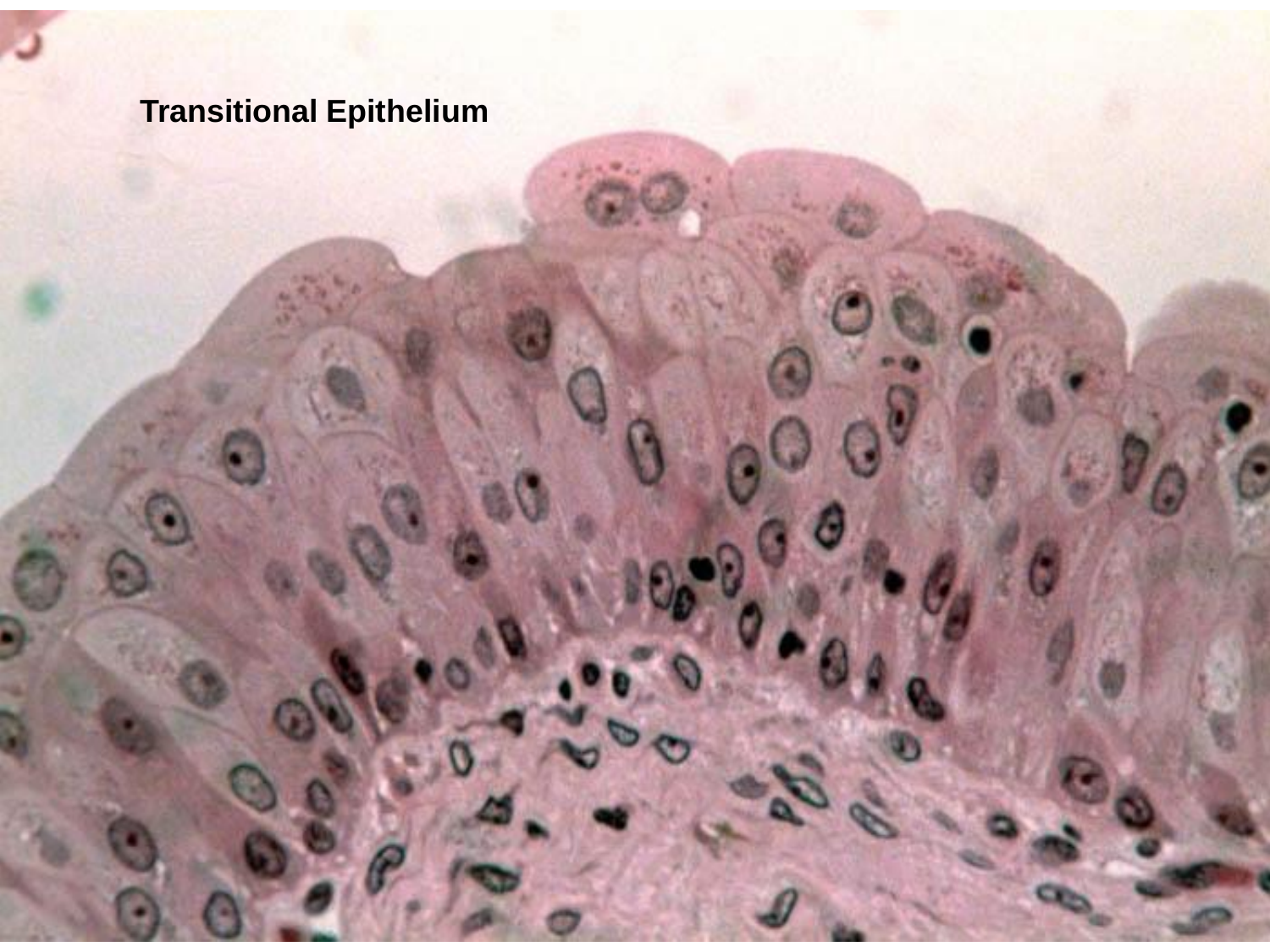#### **Transitional Epithelium**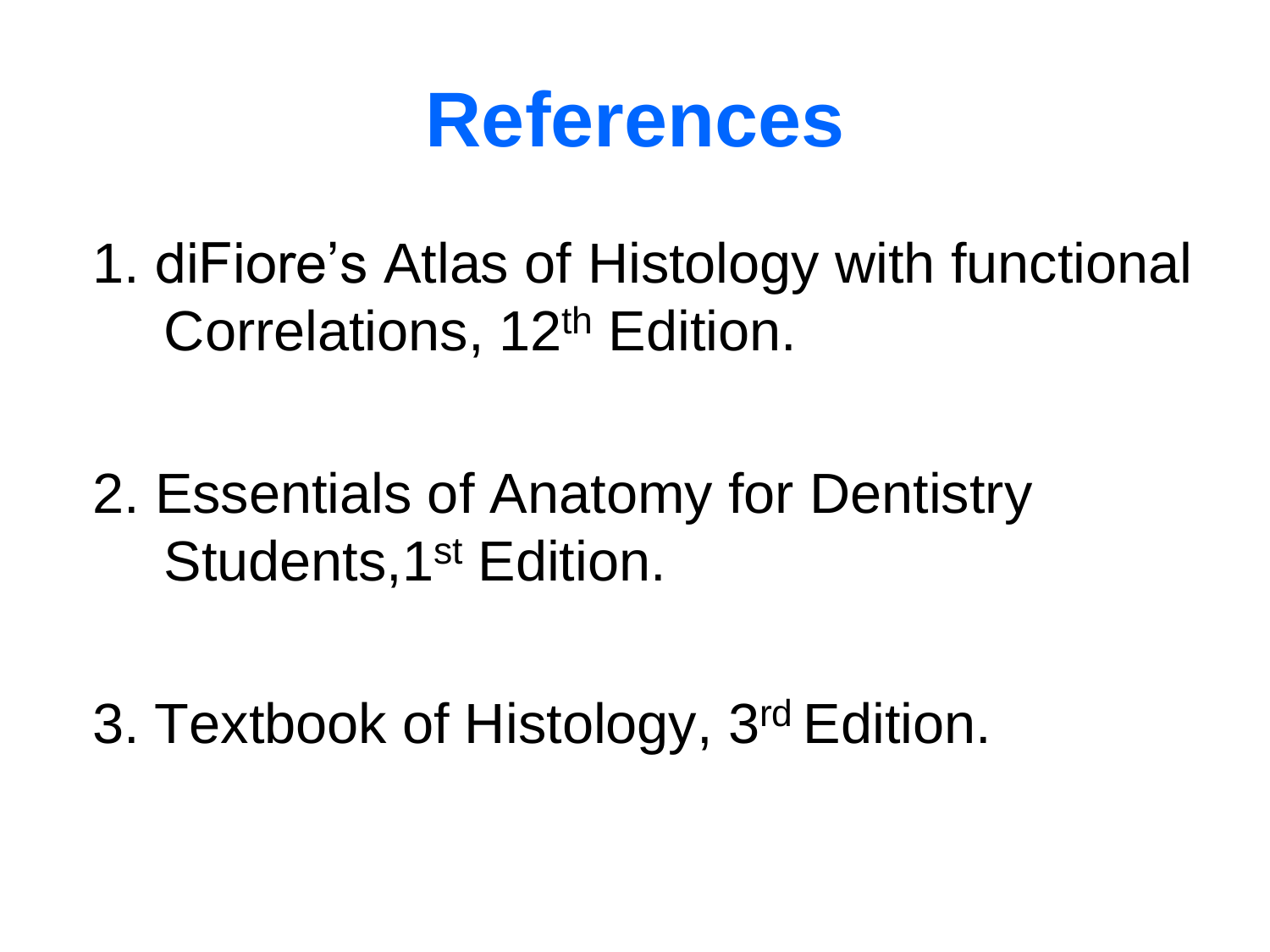## **References**

1. diFiore's Atlas of Histology with functional Correlations, 12<sup>th</sup> Edition.

2. Essentials of Anatomy for Dentistry Students, 1<sup>st</sup> Edition.

3. Textbook of Histology, 3rd Edition.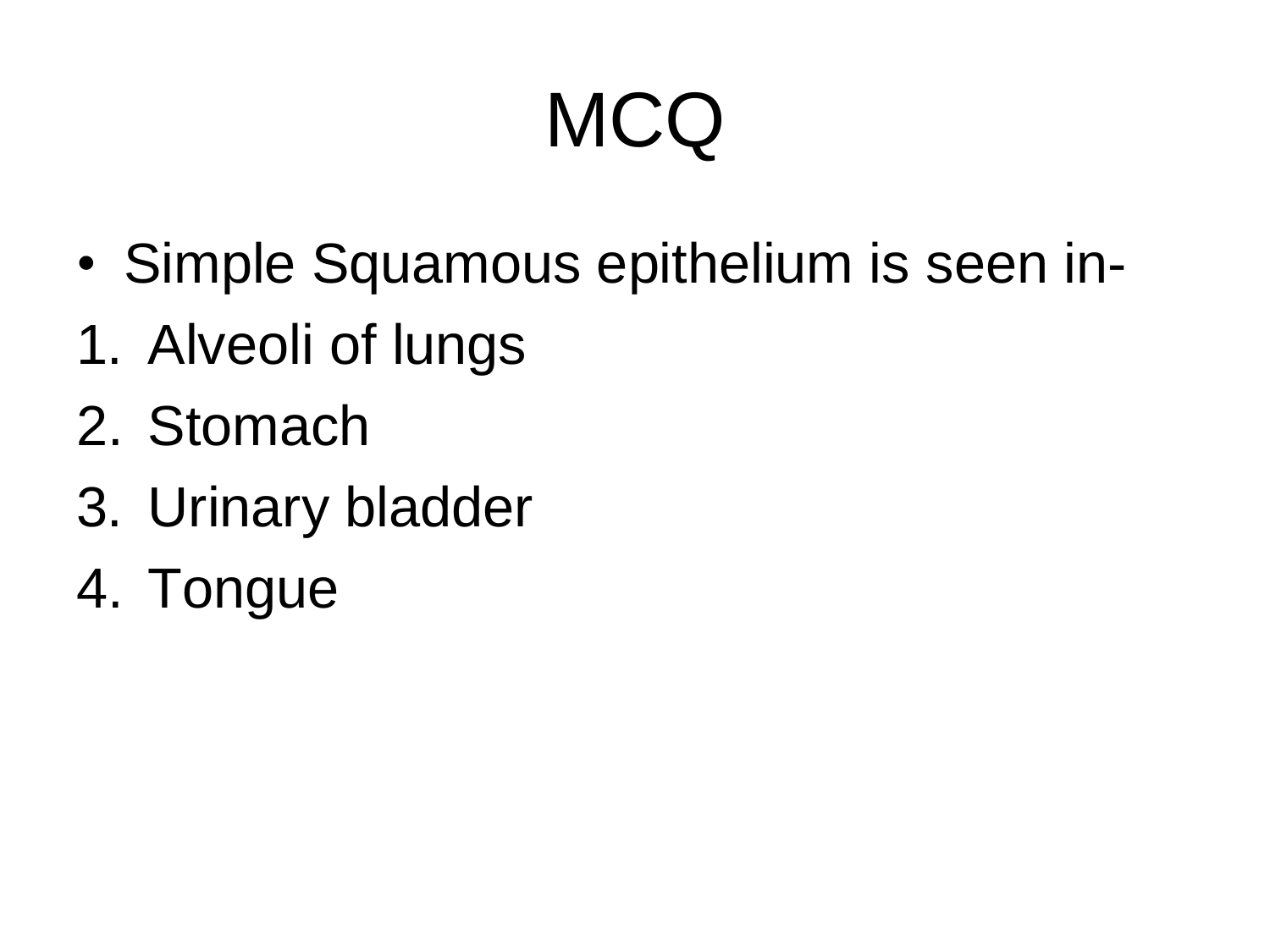- Simple Squamous epithelium is seen in-
- 1. Alveoli of lungs
- 2. Stomach
- 3. Urinary bladder
- 4. Tongue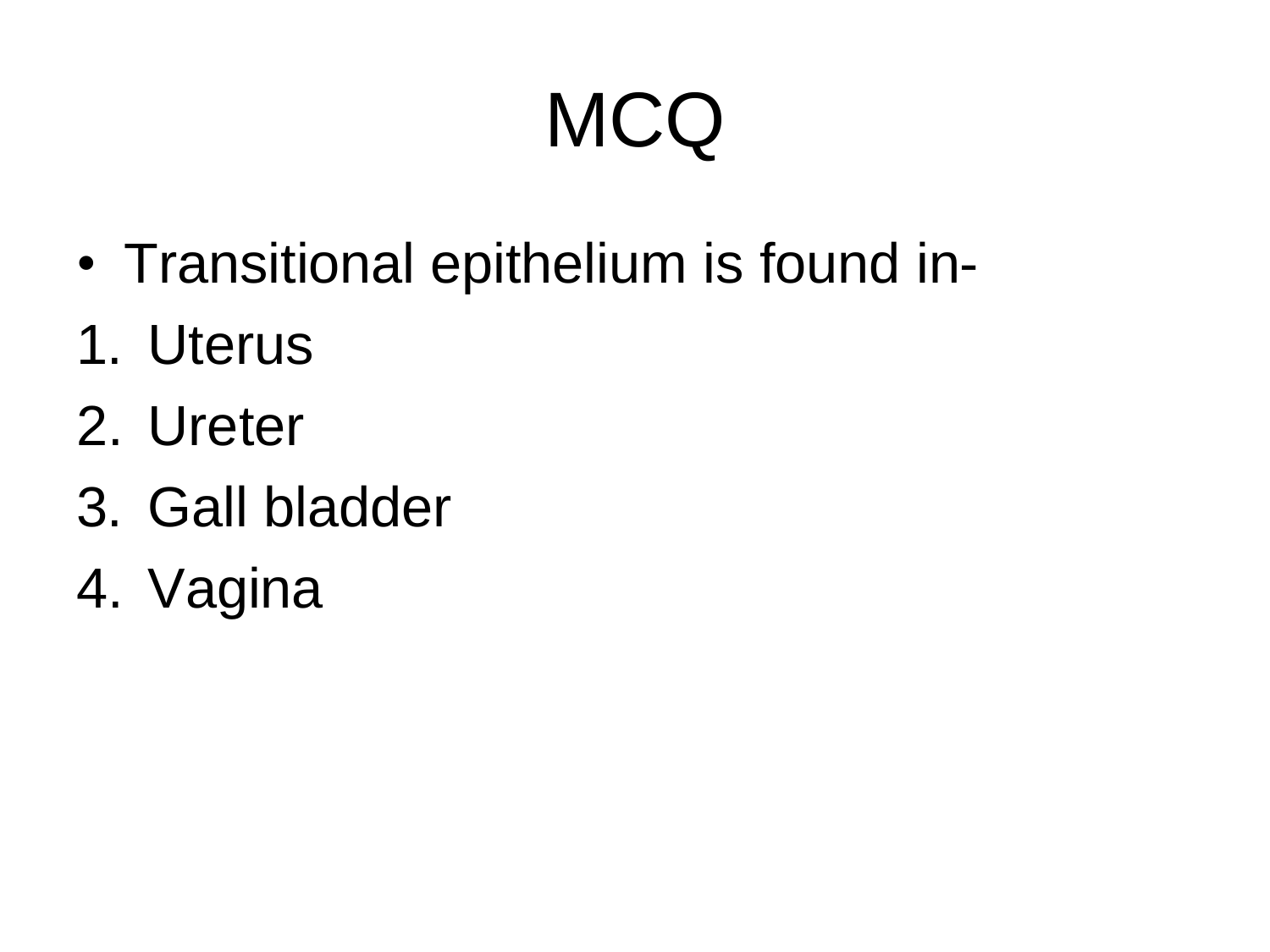- Transitional epithelium is found in-
- 1. Uterus
- 2. Ureter
- 3. Gall bladder
- 4. Vagina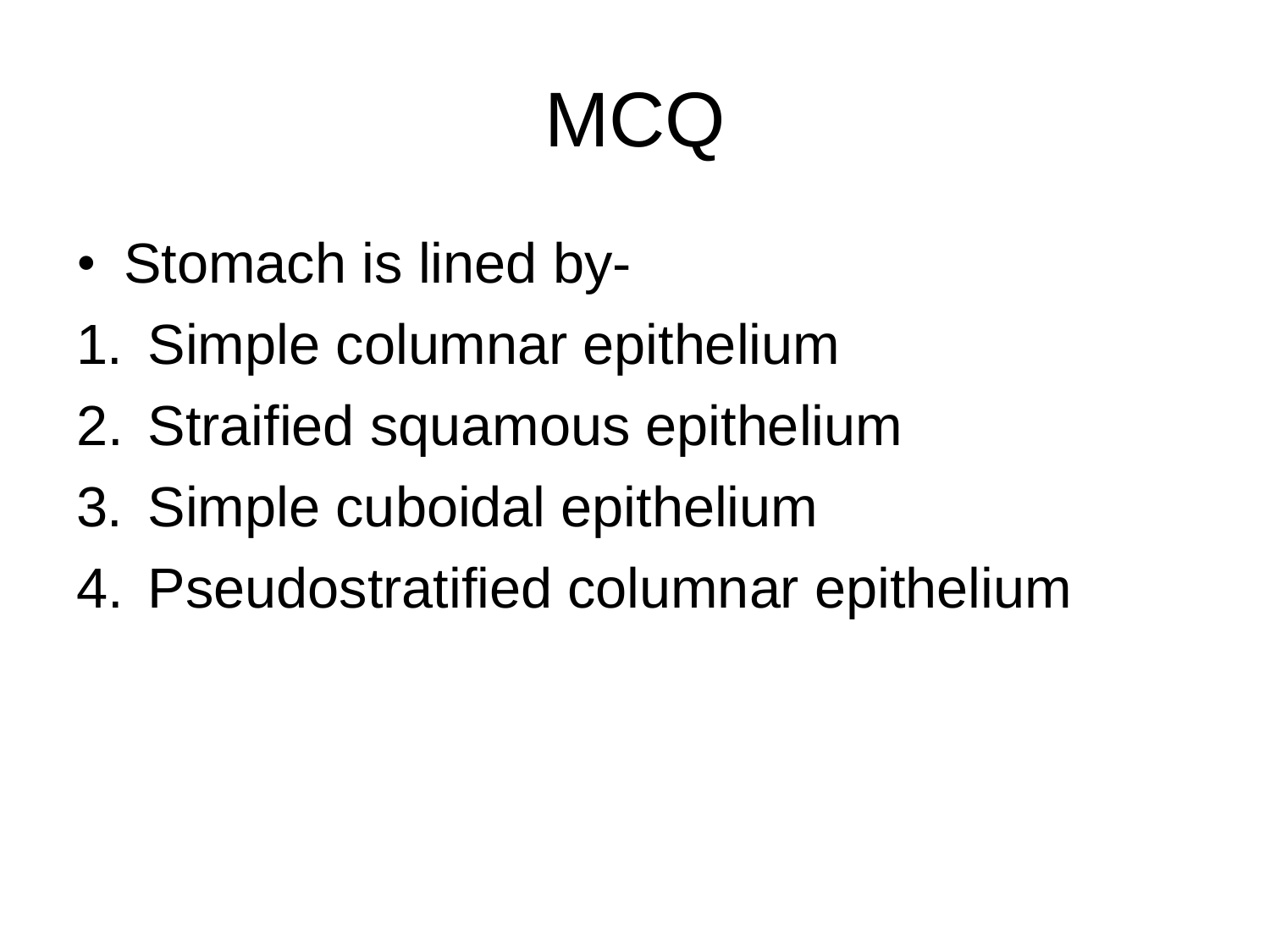- Stomach is lined by-
- 1. Simple columnar epithelium
- 2. Straified squamous epithelium
- 3. Simple cuboidal epithelium
- 4. Pseudostratified columnar epithelium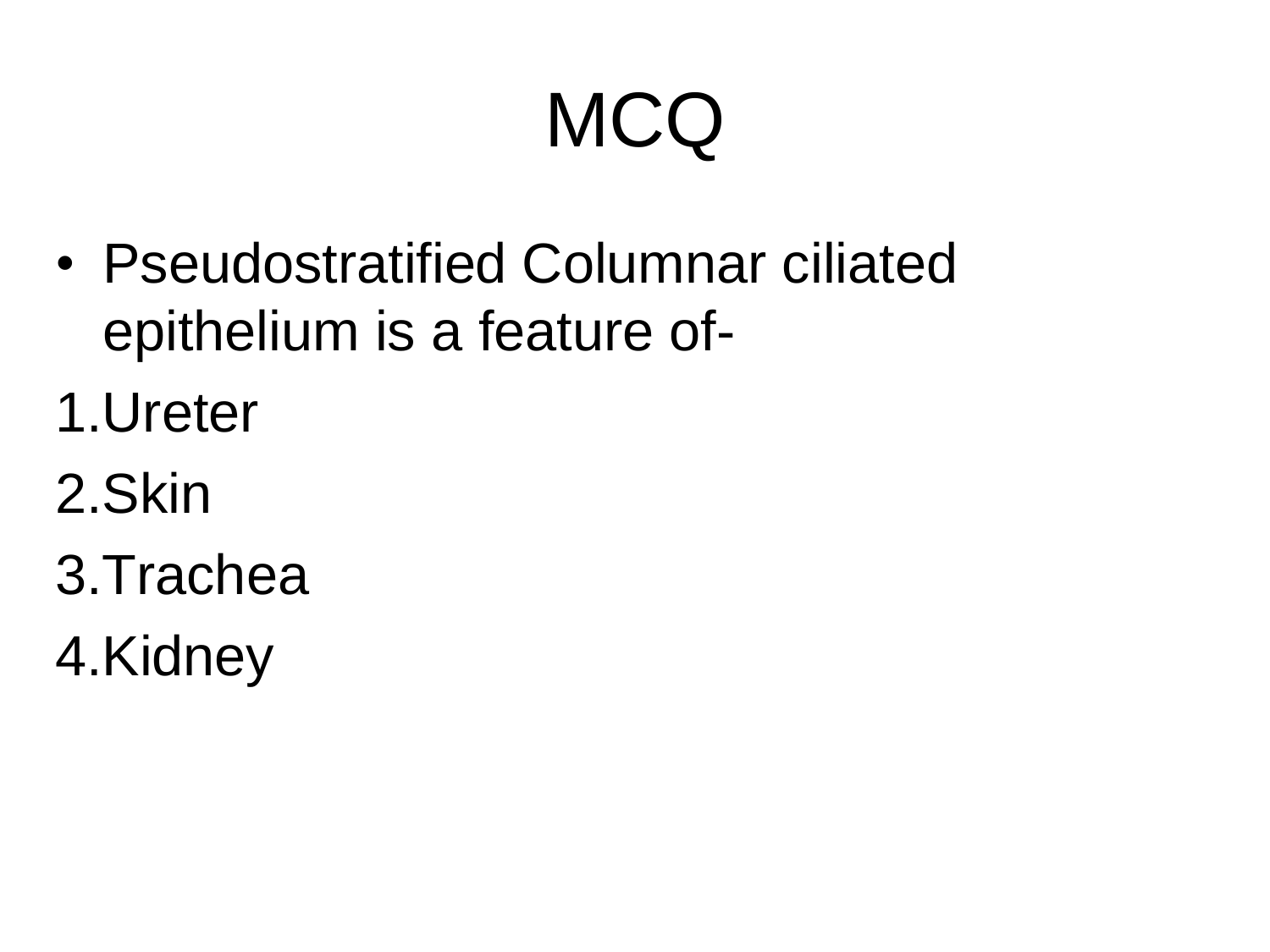- Pseudostratified Columnar ciliated epithelium is a feature of-
- 1.Ureter
- 2.Skin
- 3.Trachea
- 4.Kidney